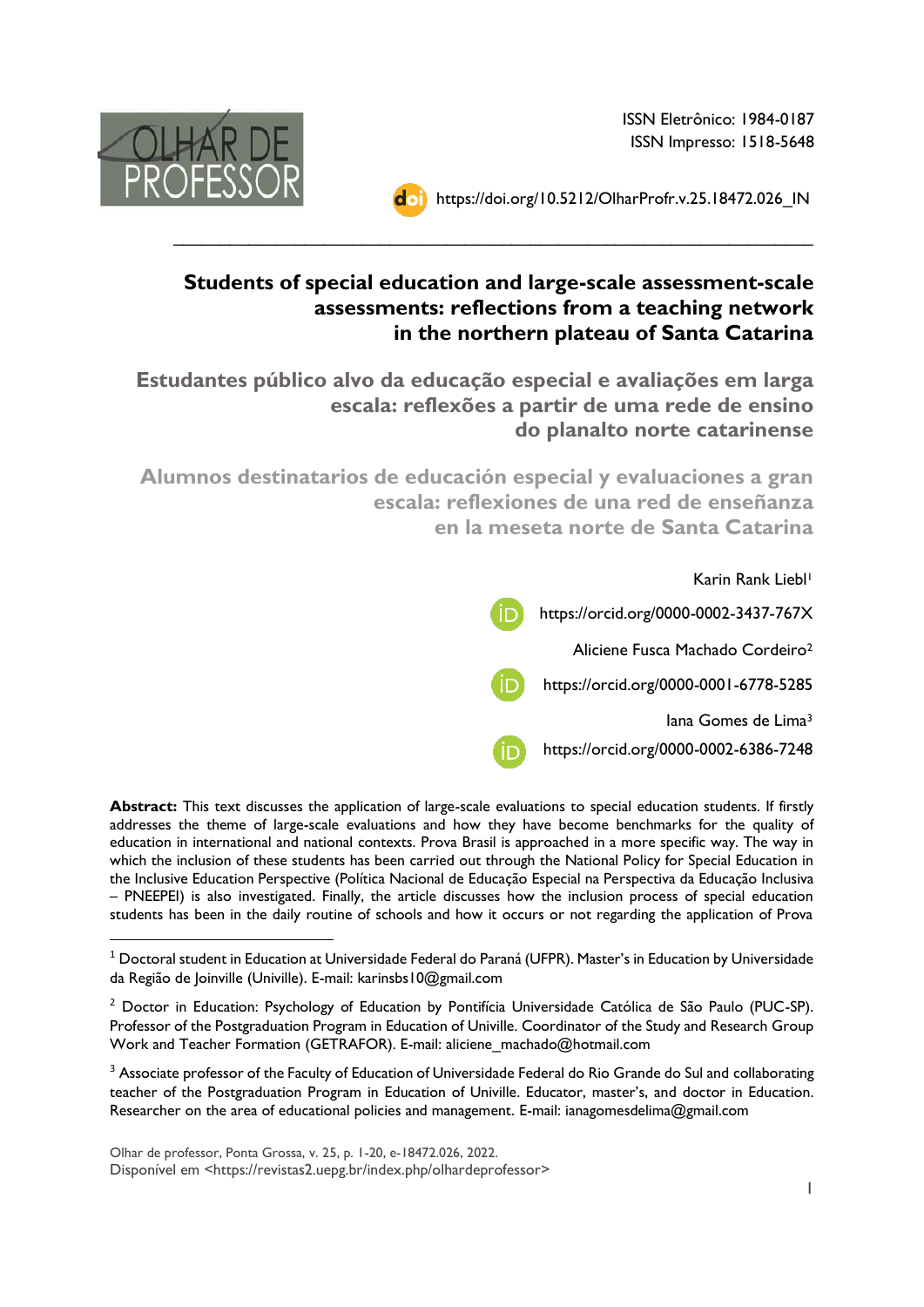ISSN Eletrônico: 1984-0187 ISSN Impresso: 1518-5648







## **Students of special education and large-scale assessment-scale assessments: reflections from a teaching network in the northern plateau of Santa Catarina**

 $\_$ 

**Estudantes público alvo da educação especial e avaliações em larga escala: reflexões a partir de uma rede de ensino do planalto norte catarinense**

**Alumnos destinatarios de educación especial y evaluaciones a gran escala: reflexiones de una red de enseñanza en la meseta norte de Santa Catarina**



**Abstract:** This text discusses the application of large-scale evaluations to special education students. If firstly addresses the theme of large-scale evaluations and how they have become benchmarks for the quality of education in international and national contexts. Prova Brasil is approached in a more specific way. The way in which the inclusion of these students has been carried out through the National Policy for Special Education in the Inclusive Education Perspective (Política Nacional de Educação Especial na Perspectiva da Educação Inclusiva – PNEEPEI) is also investigated. Finally, the article discusses how the inclusion process of special education students has been in the daily routine of schools and how it occurs or not regarding the application of Prova

 $1$  Doctoral student in Education at Universidade Federal do Paraná (UFPR). Master's in Education by Universidade da Região de Joinville (Univille). E-mail: karinsbs10@gmail.com

<sup>&</sup>lt;sup>2</sup> Doctor in Education: Psychology of Education by Pontifícia Universidade Católica de São Paulo (PUC-SP). Professor of the Postgraduation Program in Education of Univille. Coordinator of the Study and Research Group Work and Teacher Formation (GETRAFOR). E-mail: aliciene\_machado@hotmail.com

<sup>&</sup>lt;sup>3</sup> Associate professor of the Faculty of Education of Universidade Federal do Rio Grande do Sul and collaborating teacher of the Postgraduation Program in Education of Univille. Educator, master's, and doctor in Education. Researcher on the area of educational policies and management. E-mail: ianagomesdelima@gmail.com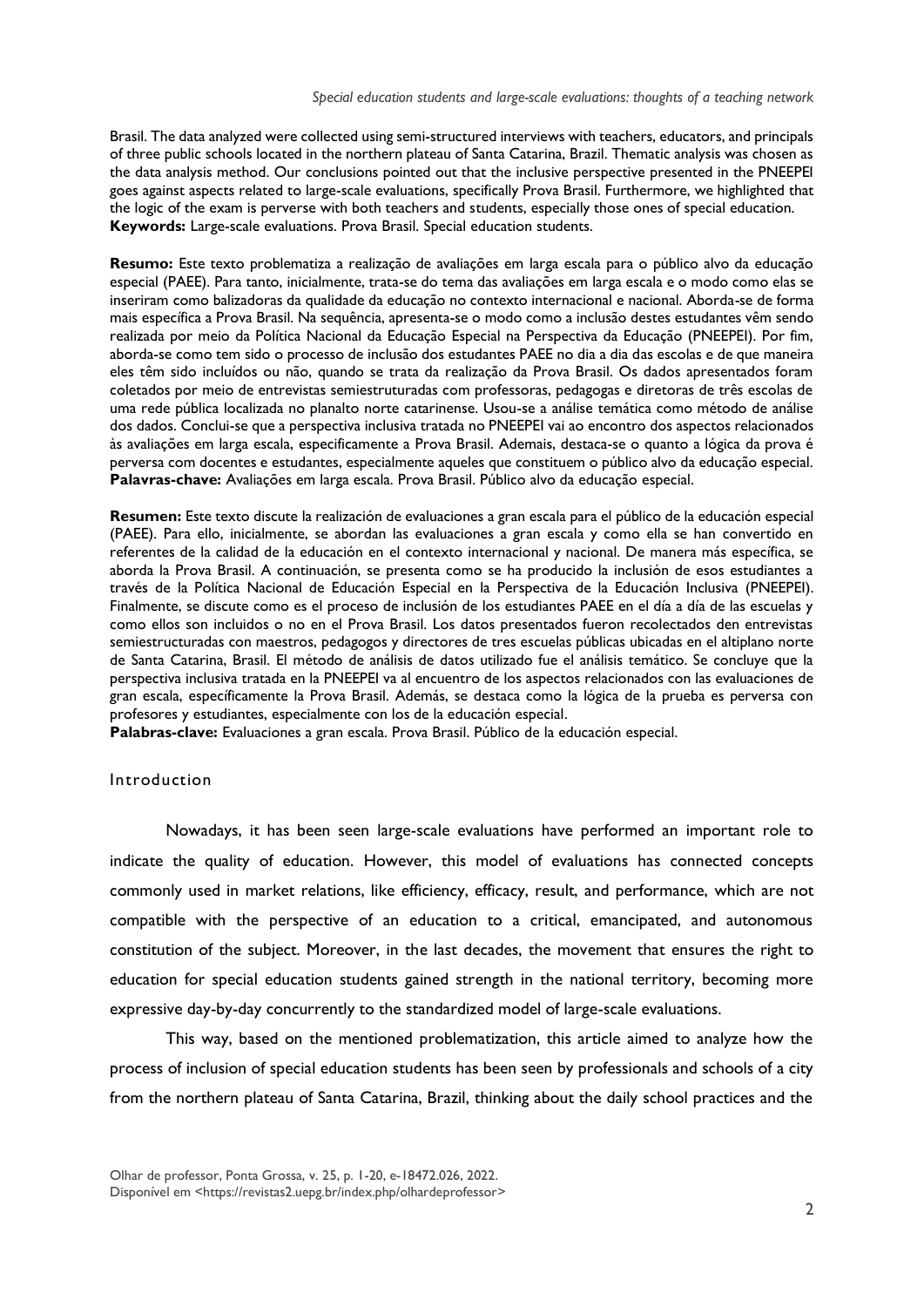Brasil. The data analyzed were collected using semi-structured interviews with teachers, educators, and principals of three public schools located in the northern plateau of Santa Catarina, Brazil. Thematic analysis was chosen as the data analysis method. Our conclusions pointed out that the inclusive perspective presented in the PNEEPEI goes against aspects related to large-scale evaluations, specifically Prova Brasil. Furthermore, we highlighted that the logic of the exam is perverse with both teachers and students, especially those ones of special education. **Keywords:** Large-scale evaluations. Prova Brasil. Special education students.

**Resumo:** Este texto problematiza a realização de avaliações em larga escala para o público alvo da educação especial (PAEE). Para tanto, inicialmente, trata-se do tema das avaliações em larga escala e o modo como elas se inseriram como balizadoras da qualidade da educação no contexto internacional e nacional. Aborda-se de forma mais específica a Prova Brasil. Na sequência, apresenta-se o modo como a inclusão destes estudantes vêm sendo realizada por meio da Política Nacional da Educação Especial na Perspectiva da Educação (PNEEPEI). Por fim, aborda-se como tem sido o processo de inclusão dos estudantes PAEE no dia a dia das escolas e de que maneira eles têm sido incluídos ou não, quando se trata da realização da Prova Brasil. Os dados apresentados foram coletados por meio de entrevistas semiestruturadas com professoras, pedagogas e diretoras de três escolas de uma rede pública localizada no planalto norte catarinense. Usou-se a análise temática como método de análise dos dados. Conclui-se que a perspectiva inclusiva tratada no PNEEPEI vai ao encontro dos aspectos relacionados às avaliações em larga escala, especificamente a Prova Brasil. Ademais, destaca-se o quanto a lógica da prova é perversa com docentes e estudantes, especialmente aqueles que constituem o público alvo da educação especial. **Palavras-chave:** Avaliações em larga escala. Prova Brasil. Público alvo da educação especial.

**Resumen:** Este texto discute la realización de evaluaciones a gran escala para el público de la educación especial (PAEE). Para ello, inicialmente, se abordan las evaluaciones a gran escala y como ella se han convertido en referentes de la calidad de la educación en el contexto internacional y nacional. De manera más específica, se aborda la Prova Brasil. A continuación, se presenta como se ha producido la inclusión de esos estudiantes a través de la Política Nacional de Educación Especial en la Perspectiva de la Educación Inclusiva (PNEEPEI). Finalmente, se discute como es el proceso de inclusión de los estudiantes PAEE en el día a día de las escuelas y como ellos son incluidos o no en el Prova Brasil. Los datos presentados fueron recolectados den entrevistas semiestructuradas con maestros, pedagogos y directores de tres escuelas públicas ubicadas en el altiplano norte de Santa Catarina, Brasil. El método de análisis de datos utilizado fue el análisis temático. Se concluye que la perspectiva inclusiva tratada en la PNEEPEI va al encuentro de los aspectos relacionados con las evaluaciones de gran escala, específicamente la Prova Brasil. Además, se destaca como la lógica de la prueba es perversa con profesores y estudiantes, especialmente con los de la educación especial.

**Palabras-clave:** Evaluaciones a gran escala. Prova Brasil. Público de la educación especial.

#### **Introduction**

Nowadays, it has been seen large-scale evaluations have performed an important role to indicate the quality of education. However, this model of evaluations has connected concepts commonly used in market relations, like efficiency, efficacy, result, and performance, which are not compatible with the perspective of an education to a critical, emancipated, and autonomous constitution of the subject. Moreover, in the last decades, the movement that ensures the right to education for special education students gained strength in the national territory, becoming more expressive day-by-day concurrently to the standardized model of large-scale evaluations.

This way, based on the mentioned problematization, this article aimed to analyze how the process of inclusion of special education students has been seen by professionals and schools of a city from the northern plateau of Santa Catarina, Brazil, thinking about the daily school practices and the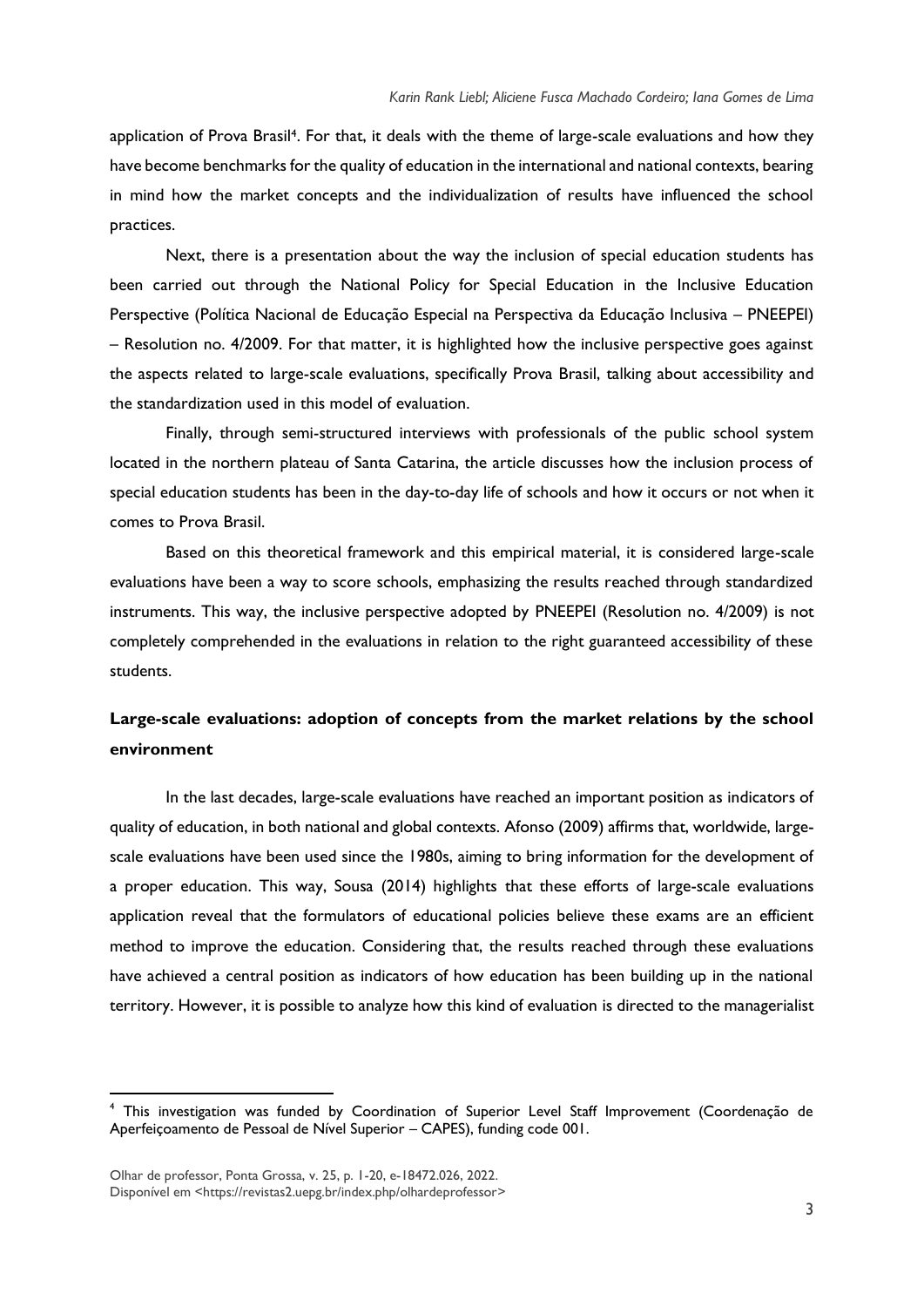application of Prova Brasil<sup>4</sup>. For that, it deals with the theme of large-scale evaluations and how they have become benchmarks for the quality of education in the international and national contexts, bearing in mind how the market concepts and the individualization of results have influenced the school practices.

Next, there is a presentation about the way the inclusion of special education students has been carried out through the National Policy for Special Education in the Inclusive Education Perspective (Política Nacional de Educação Especial na Perspectiva da Educação Inclusiva – PNEEPEI) – Resolution no. 4/2009. For that matter, it is highlighted how the inclusive perspective goes against the aspects related to large-scale evaluations, specifically Prova Brasil, talking about accessibility and the standardization used in this model of evaluation.

Finally, through semi-structured interviews with professionals of the public school system located in the northern plateau of Santa Catarina, the article discusses how the inclusion process of special education students has been in the day-to-day life of schools and how it occurs or not when it comes to Prova Brasil.

Based on this theoretical framework and this empirical material, it is considered large-scale evaluations have been a way to score schools, emphasizing the results reached through standardized instruments. This way, the inclusive perspective adopted by PNEEPEI (Resolution no. 4/2009) is not completely comprehended in the evaluations in relation to the right guaranteed accessibility of these students.

### **Large-scale evaluations: adoption of concepts from the market relations by the school environment**

In the last decades, large-scale evaluations have reached an important position as indicators of quality of education, in both national and global contexts. Afonso (2009) affirms that, worldwide, largescale evaluations have been used since the 1980s, aiming to bring information for the development of a proper education. This way, Sousa (2014) highlights that these efforts of large-scale evaluations application reveal that the formulators of educational policies believe these exams are an efficient method to improve the education. Considering that, the results reached through these evaluations have achieved a central position as indicators of how education has been building up in the national territory. However, it is possible to analyze how this kind of evaluation is directed to the managerialist

<sup>4</sup> This investigation was funded by Coordination of Superior Level Staff Improvement (Coordenação de Aperfeiçoamento de Pessoal de Nível Superior – CAPES), funding code 001.

Olhar de professor, Ponta Grossa, v. 25, p. 1-20, e-18472.026, 2022. Disponível em [<https://revistas2.uepg.br/index.php/olhardeprofessor>](https://revistas2.uepg.br/index.php/olhardeprofessor)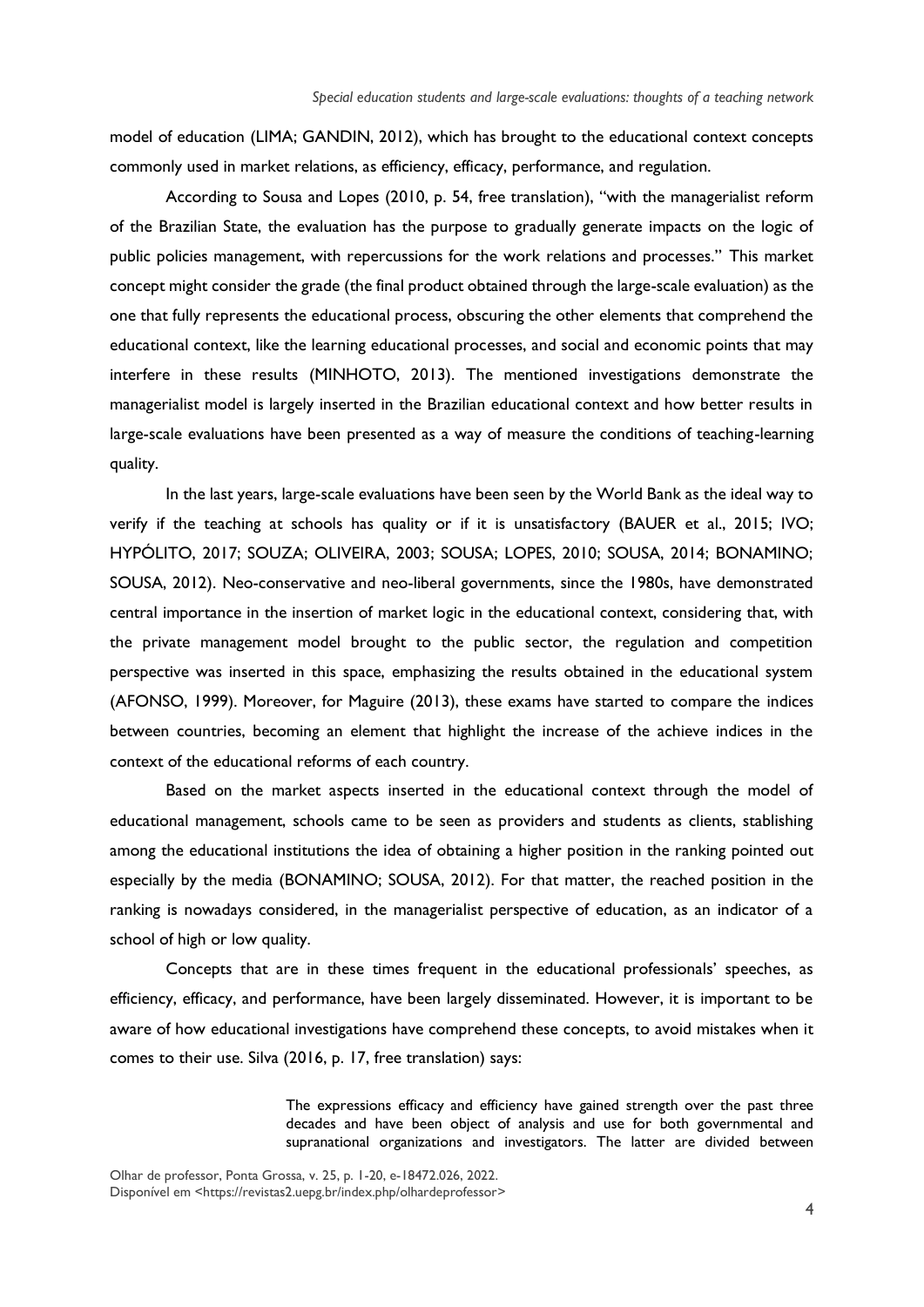model of education (LIMA; GANDIN, 2012), which has brought to the educational context concepts commonly used in market relations, as efficiency, efficacy, performance, and regulation.

According to Sousa and Lopes (2010, p. 54, free translation), "with the managerialist reform of the Brazilian State, the evaluation has the purpose to gradually generate impacts on the logic of public policies management, with repercussions for the work relations and processes." This market concept might consider the grade (the final product obtained through the large-scale evaluation) as the one that fully represents the educational process, obscuring the other elements that comprehend the educational context, like the learning educational processes, and social and economic points that may interfere in these results (MINHOTO, 2013). The mentioned investigations demonstrate the managerialist model is largely inserted in the Brazilian educational context and how better results in large-scale evaluations have been presented as a way of measure the conditions of teaching-learning quality.

In the last years, large-scale evaluations have been seen by the World Bank as the ideal way to verify if the teaching at schools has quality or if it is unsatisfactory (BAUER et al., 2015; IVO; HYPÓLITO, 2017; SOUZA; OLIVEIRA, 2003; SOUSA; LOPES, 2010; SOUSA, 2014; BONAMINO; SOUSA, 2012). Neo-conservative and neo-liberal governments, since the 1980s, have demonstrated central importance in the insertion of market logic in the educational context, considering that, with the private management model brought to the public sector, the regulation and competition perspective was inserted in this space, emphasizing the results obtained in the educational system (AFONSO, 1999). Moreover, for Maguire (2013), these exams have started to compare the indices between countries, becoming an element that highlight the increase of the achieve indices in the context of the educational reforms of each country.

Based on the market aspects inserted in the educational context through the model of educational management, schools came to be seen as providers and students as clients, stablishing among the educational institutions the idea of obtaining a higher position in the ranking pointed out especially by the media (BONAMINO; SOUSA, 2012). For that matter, the reached position in the ranking is nowadays considered, in the managerialist perspective of education, as an indicator of a school of high or low quality.

Concepts that are in these times frequent in the educational professionals' speeches, as efficiency, efficacy, and performance, have been largely disseminated. However, it is important to be aware of how educational investigations have comprehend these concepts, to avoid mistakes when it comes to their use. Silva (2016, p. 17, free translation) says:

> The expressions efficacy and efficiency have gained strength over the past three decades and have been object of analysis and use for both governmental and supranational organizations and investigators. The latter are divided between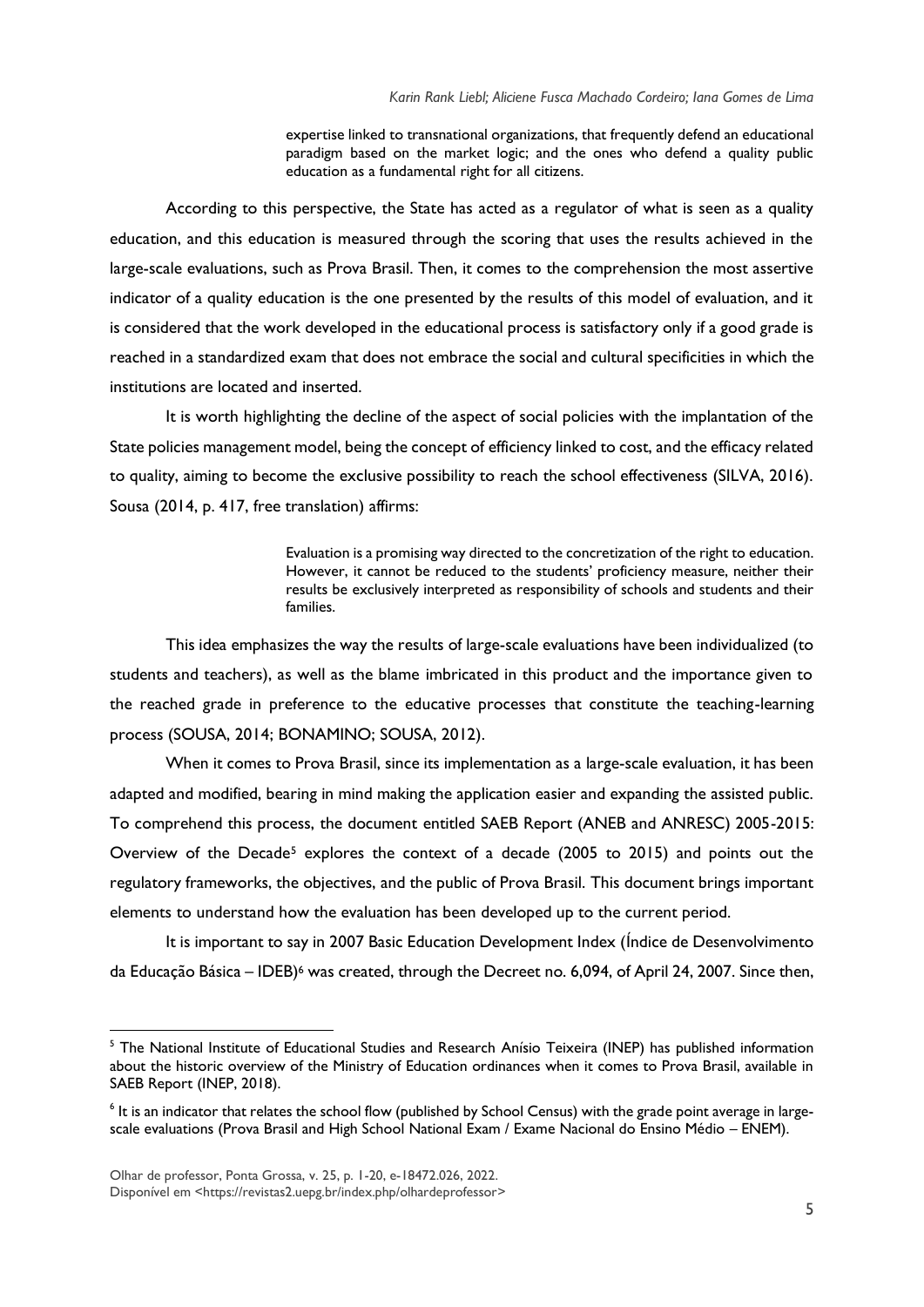expertise linked to transnational organizations, that frequently defend an educational paradigm based on the market logic; and the ones who defend a quality public education as a fundamental right for all citizens.

According to this perspective, the State has acted as a regulator of what is seen as a quality education, and this education is measured through the scoring that uses the results achieved in the large-scale evaluations, such as Prova Brasil. Then, it comes to the comprehension the most assertive indicator of a quality education is the one presented by the results of this model of evaluation, and it is considered that the work developed in the educational process is satisfactory only if a good grade is reached in a standardized exam that does not embrace the social and cultural specificities in which the institutions are located and inserted.

It is worth highlighting the decline of the aspect of social policies with the implantation of the State policies management model, being the concept of efficiency linked to cost, and the efficacy related to quality, aiming to become the exclusive possibility to reach the school effectiveness (SILVA, 2016). Sousa (2014, p. 417, free translation) affirms:

> Evaluation is a promising way directed to the concretization of the right to education. However, it cannot be reduced to the students' proficiency measure, neither their results be exclusively interpreted as responsibility of schools and students and their families.

This idea emphasizes the way the results of large-scale evaluations have been individualized (to students and teachers), as well as the blame imbricated in this product and the importance given to the reached grade in preference to the educative processes that constitute the teaching-learning process (SOUSA, 2014; BONAMINO; SOUSA, 2012).

When it comes to Prova Brasil, since its implementation as a large-scale evaluation, it has been adapted and modified, bearing in mind making the application easier and expanding the assisted public. To comprehend this process, the document entitled SAEB Report (ANEB and ANRESC) 2005-2015: Overview of the Decade<sup>5</sup> explores the context of a decade  $(2005 \text{ to } 2015)$  and points out the regulatory frameworks, the objectives, and the public of Prova Brasil. This document brings important elements to understand how the evaluation has been developed up to the current period.

It is important to say in 2007 Basic Education Development Index (Índice de Desenvolvimento da Educação Básica – IDEB)<sup>6</sup> was created, through the Decreet no. 6,094, of April 24, 2007. Since then,

<sup>&</sup>lt;sup>5</sup> The National Institute of Educational Studies and Research Anísio Teixeira (INEP) has published information about the historic overview of the Ministry of Education ordinances when it comes to Prova Brasil, available in SAEB Report (INEP, 2018).

 $^6$  It is an indicator that relates the school flow (published by School Census) with the grade point average in largescale evaluations (Prova Brasil and High School National Exam / Exame Nacional do Ensino Médio – ENEM).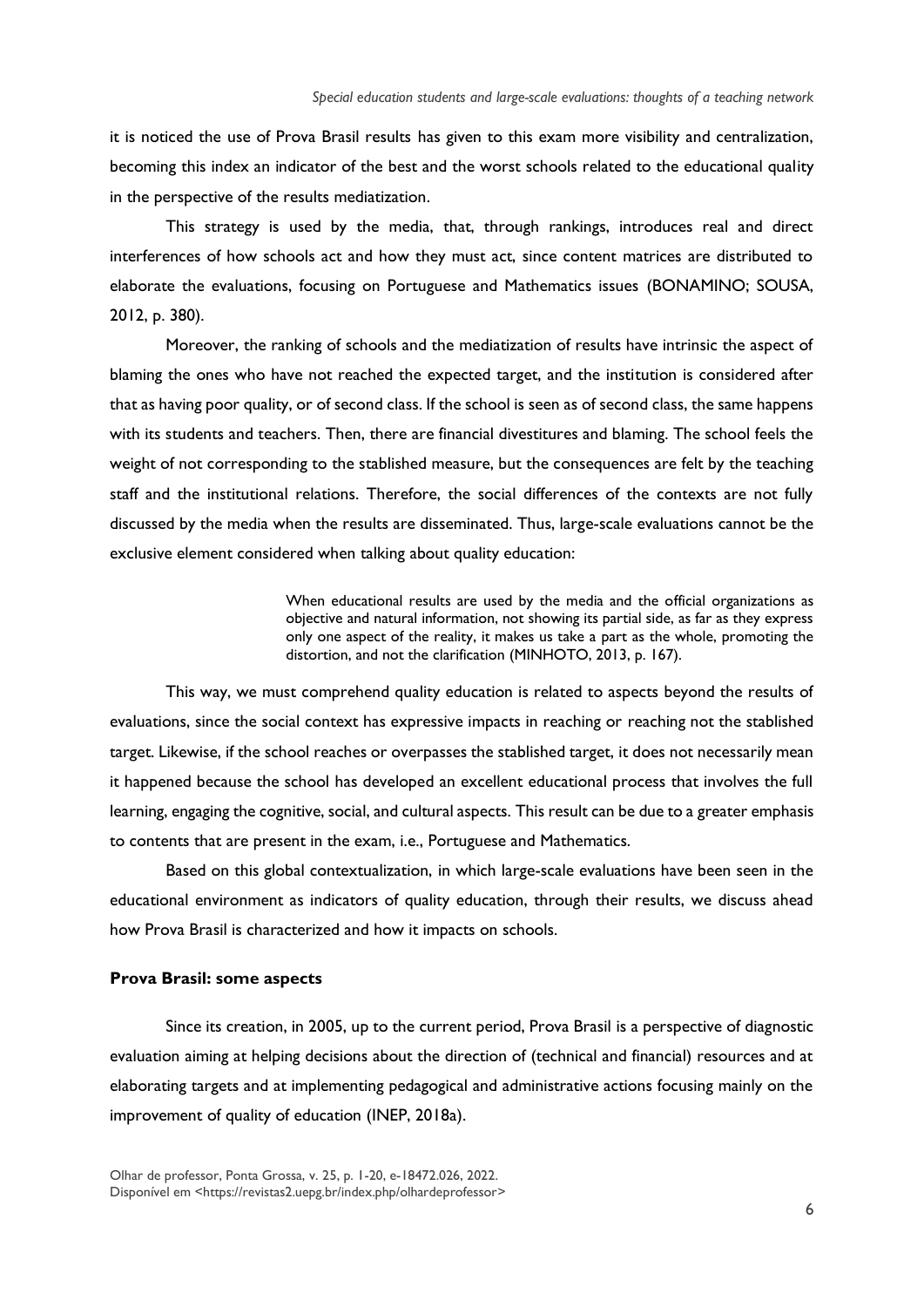it is noticed the use of Prova Brasil results has given to this exam more visibility and centralization, becoming this index an indicator of the best and the worst schools related to the educational quality in the perspective of the results mediatization.

This strategy is used by the media, that, through rankings, introduces real and direct interferences of how schools act and how they must act, since content matrices are distributed to elaborate the evaluations, focusing on Portuguese and Mathematics issues (BONAMINO; SOUSA, 2012, p. 380).

Moreover, the ranking of schools and the mediatization of results have intrinsic the aspect of blaming the ones who have not reached the expected target, and the institution is considered after that as having poor quality, or of second class. If the school is seen as of second class, the same happens with its students and teachers. Then, there are financial divestitures and blaming. The school feels the weight of not corresponding to the stablished measure, but the consequences are felt by the teaching staff and the institutional relations. Therefore, the social differences of the contexts are not fully discussed by the media when the results are disseminated. Thus, large-scale evaluations cannot be the exclusive element considered when talking about quality education:

> When educational results are used by the media and the official organizations as objective and natural information, not showing its partial side, as far as they express only one aspect of the reality, it makes us take a part as the whole, promoting the distortion, and not the clarification (MINHOTO, 2013, p. 167).

This way, we must comprehend quality education is related to aspects beyond the results of evaluations, since the social context has expressive impacts in reaching or reaching not the stablished target. Likewise, if the school reaches or overpasses the stablished target, it does not necessarily mean it happened because the school has developed an excellent educational process that involves the full learning, engaging the cognitive, social, and cultural aspects. This result can be due to a greater emphasis to contents that are present in the exam, i.e., Portuguese and Mathematics.

Based on this global contextualization, in which large-scale evaluations have been seen in the educational environment as indicators of quality education, through their results, we discuss ahead how Prova Brasil is characterized and how it impacts on schools.

#### **Prova Brasil: some aspects**

Since its creation, in 2005, up to the current period, Prova Brasil is a perspective of diagnostic evaluation aiming at helping decisions about the direction of (technical and financial) resources and at elaborating targets and at implementing pedagogical and administrative actions focusing mainly on the improvement of quality of education (INEP, 2018a).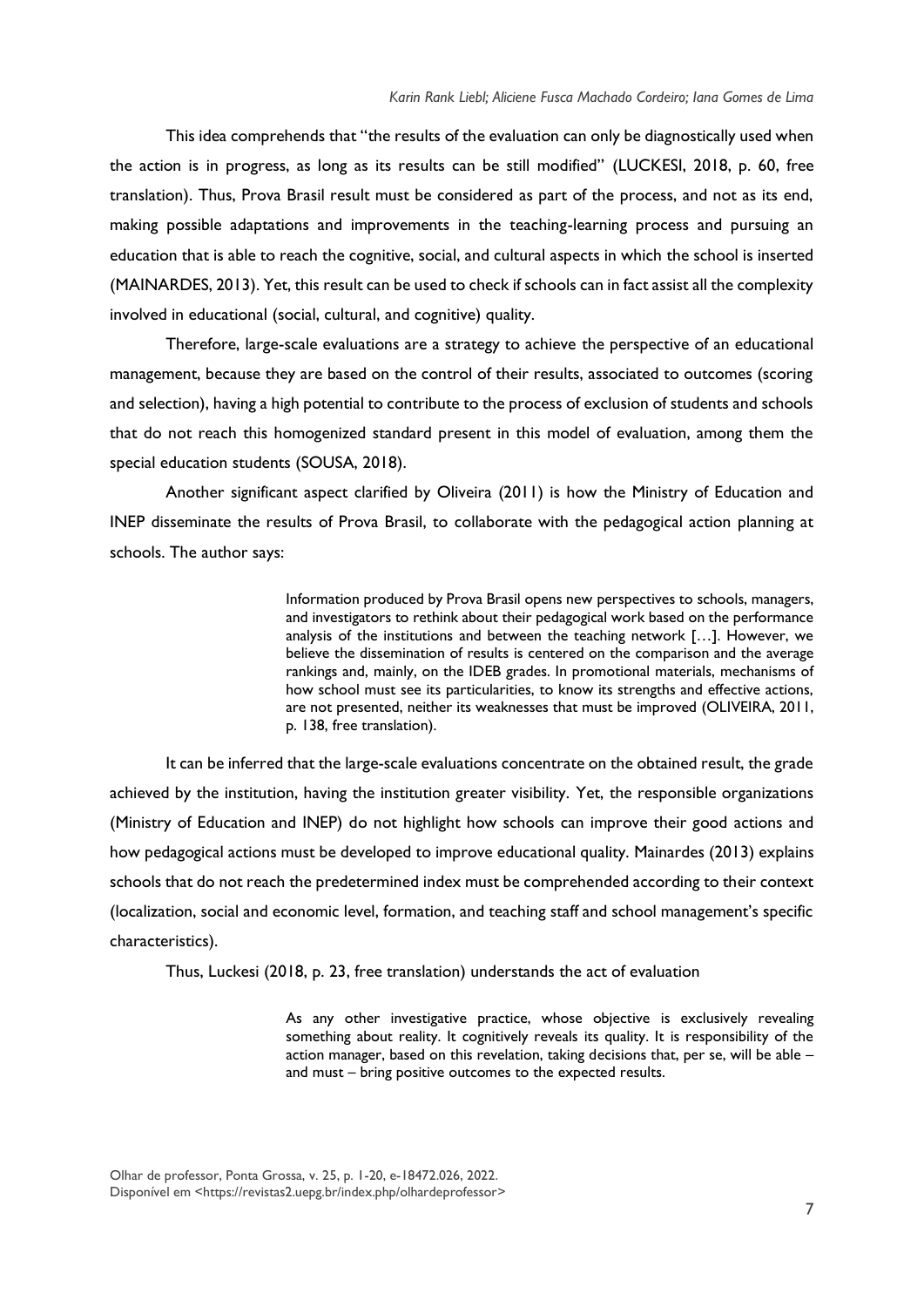This idea comprehends that "the results of the evaluation can only be diagnostically used when the action is in progress, as long as its results can be still modified" (LUCKESI, 2018, p. 60, free translation). Thus, Prova Brasil result must be considered as part of the process, and not as its end, making possible adaptations and improvements in the teaching-learning process and pursuing an education that is able to reach the cognitive, social, and cultural aspects in which the school is inserted (MAINARDES, 2013). Yet, this result can be used to check if schools can in fact assist all the complexity involved in educational (social, cultural, and cognitive) quality.

Therefore, large-scale evaluations are a strategy to achieve the perspective of an educational management, because they are based on the control of their results, associated to outcomes (scoring and selection), having a high potential to contribute to the process of exclusion of students and schools that do not reach this homogenized standard present in this model of evaluation, among them the special education students (SOUSA, 2018).

Another significant aspect clarified by Oliveira (2011) is how the Ministry of Education and INEP disseminate the results of Prova Brasil, to collaborate with the pedagogical action planning at schools. The author says:

> Information produced by Prova Brasil opens new perspectives to schools, managers, and investigators to rethink about their pedagogical work based on the performance analysis of the institutions and between the teaching network […]. However, we believe the dissemination of results is centered on the comparison and the average rankings and, mainly, on the IDEB grades. In promotional materials, mechanisms of how school must see its particularities, to know its strengths and effective actions, are not presented, neither its weaknesses that must be improved (OLIVEIRA, 2011, p. 138, free translation).

It can be inferred that the large-scale evaluations concentrate on the obtained result, the grade achieved by the institution, having the institution greater visibility. Yet, the responsible organizations (Ministry of Education and INEP) do not highlight how schools can improve their good actions and how pedagogical actions must be developed to improve educational quality. Mainardes (2013) explains schools that do not reach the predetermined index must be comprehended according to their context (localization, social and economic level, formation, and teaching staff and school management's specific characteristics).

Thus, Luckesi (2018, p. 23, free translation) understands the act of evaluation

As any other investigative practice, whose objective is exclusively revealing something about reality. It cognitively reveals its quality. It is responsibility of the action manager, based on this revelation, taking decisions that, per se, will be able – and must – bring positive outcomes to the expected results.

Olhar de professor, Ponta Grossa, v. 25, p. 1-20, e-18472.026, 2022. Disponível em [<https://revistas2.uepg.br/index.php/olhardeprofessor>](https://revistas2.uepg.br/index.php/olhardeprofessor)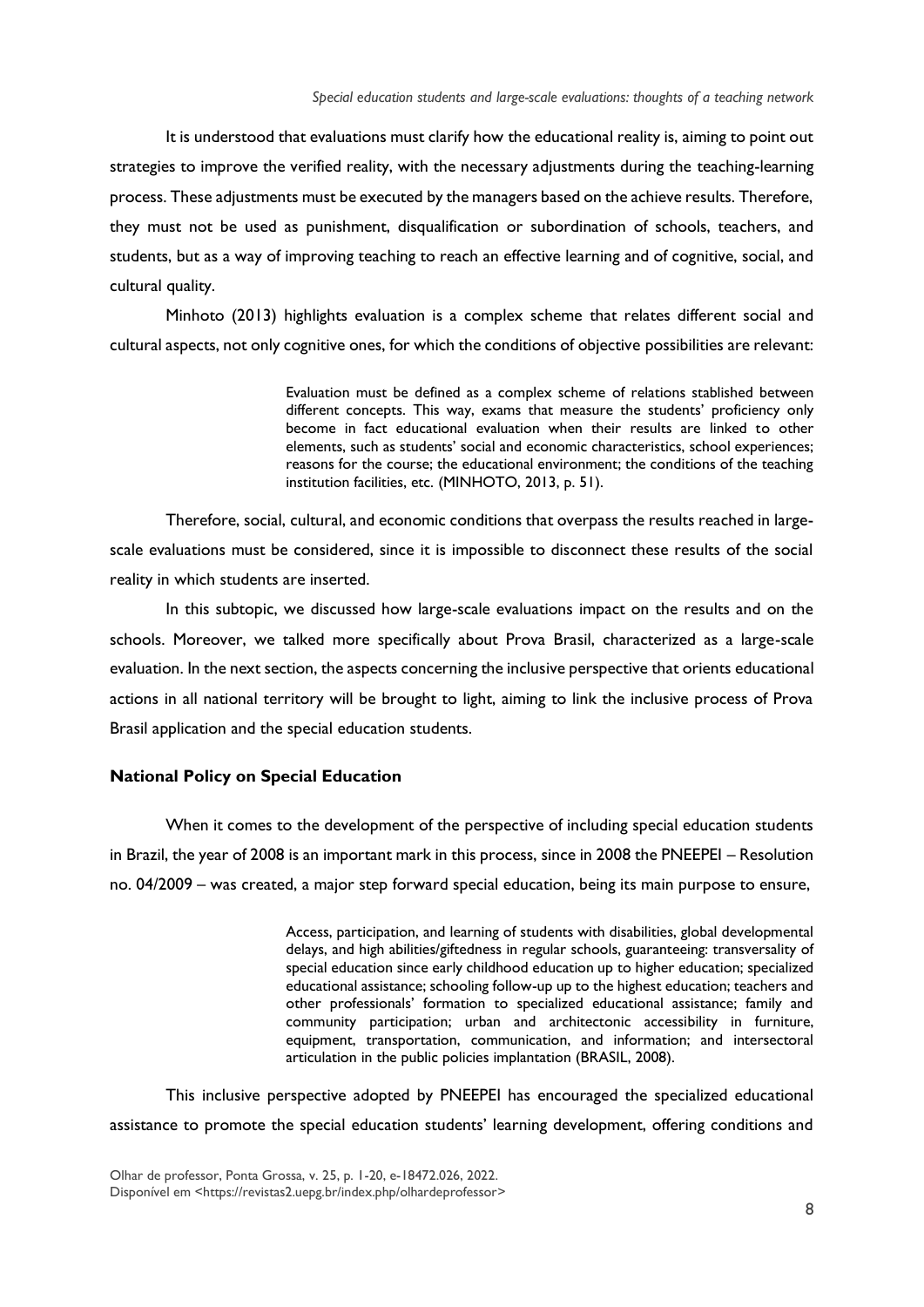It is understood that evaluations must clarify how the educational reality is, aiming to point out strategies to improve the verified reality, with the necessary adjustments during the teaching-learning process. These adjustments must be executed by the managers based on the achieve results. Therefore, they must not be used as punishment, disqualification or subordination of schools, teachers, and students, but as a way of improving teaching to reach an effective learning and of cognitive, social, and cultural quality.

Minhoto (2013) highlights evaluation is a complex scheme that relates different social and cultural aspects, not only cognitive ones, for which the conditions of objective possibilities are relevant:

> Evaluation must be defined as a complex scheme of relations stablished between different concepts. This way, exams that measure the students' proficiency only become in fact educational evaluation when their results are linked to other elements, such as students' social and economic characteristics, school experiences; reasons for the course; the educational environment; the conditions of the teaching institution facilities, etc. (MINHOTO, 2013, p. 51).

Therefore, social, cultural, and economic conditions that overpass the results reached in largescale evaluations must be considered, since it is impossible to disconnect these results of the social reality in which students are inserted.

In this subtopic, we discussed how large-scale evaluations impact on the results and on the schools. Moreover, we talked more specifically about Prova Brasil, characterized as a large-scale evaluation. In the next section, the aspects concerning the inclusive perspective that orients educational actions in all national territory will be brought to light, aiming to link the inclusive process of Prova Brasil application and the special education students.

#### **National Policy on Special Education**

When it comes to the development of the perspective of including special education students in Brazil, the year of 2008 is an important mark in this process, since in 2008 the PNEEPEI – Resolution no. 04/2009 – was created, a major step forward special education, being its main purpose to ensure,

> Access, participation, and learning of students with disabilities, global developmental delays, and high abilities/giftedness in regular schools, guaranteeing: transversality of special education since early childhood education up to higher education; specialized educational assistance; schooling follow-up up to the highest education; teachers and other professionals' formation to specialized educational assistance; family and community participation; urban and architectonic accessibility in furniture, equipment, transportation, communication, and information; and intersectoral articulation in the public policies implantation (BRASIL, 2008).

This inclusive perspective adopted by PNEEPEI has encouraged the specialized educational assistance to promote the special education students' learning development, offering conditions and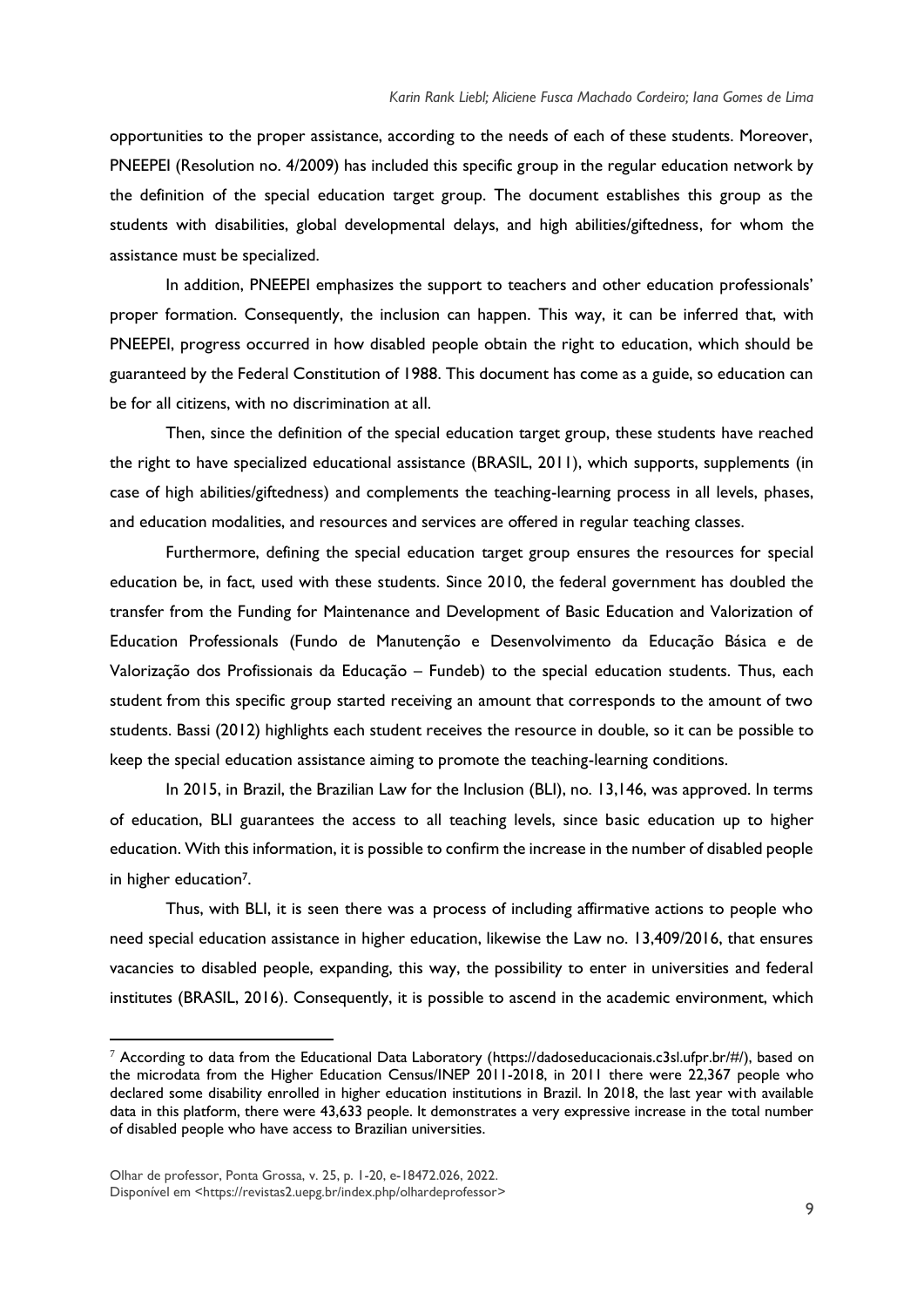opportunities to the proper assistance, according to the needs of each of these students. Moreover, PNEEPEI (Resolution no. 4/2009) has included this specific group in the regular education network by the definition of the special education target group. The document establishes this group as the students with disabilities, global developmental delays, and high abilities/giftedness, for whom the assistance must be specialized.

In addition, PNEEPEI emphasizes the support to teachers and other education professionals' proper formation. Consequently, the inclusion can happen. This way, it can be inferred that, with PNEEPEI, progress occurred in how disabled people obtain the right to education, which should be guaranteed by the Federal Constitution of 1988. This document has come as a guide, so education can be for all citizens, with no discrimination at all.

Then, since the definition of the special education target group, these students have reached the right to have specialized educational assistance (BRASIL, 2011), which supports, supplements (in case of high abilities/giftedness) and complements the teaching-learning process in all levels, phases, and education modalities, and resources and services are offered in regular teaching classes.

Furthermore, defining the special education target group ensures the resources for special education be, in fact, used with these students. Since 2010, the federal government has doubled the transfer from the Funding for Maintenance and Development of Basic Education and Valorization of Education Professionals (Fundo de Manutenção e Desenvolvimento da Educação Básica e de Valorização dos Profissionais da Educação – Fundeb) to the special education students. Thus, each student from this specific group started receiving an amount that corresponds to the amount of two students. Bassi (2012) highlights each student receives the resource in double, so it can be possible to keep the special education assistance aiming to promote the teaching-learning conditions.

In 2015, in Brazil, the Brazilian Law for the Inclusion (BLI), no. 13,146, was approved. In terms of education, BLI guarantees the access to all teaching levels, since basic education up to higher education. With this information, it is possible to confirm the increase in the number of disabled people in higher education7.

Thus, with BLI, it is seen there was a process of including affirmative actions to people who need special education assistance in higher education, likewise the Law no. 13,409/2016, that ensures vacancies to disabled people, expanding, this way, the possibility to enter in universities and federal institutes (BRASIL, 2016). Consequently, it is possible to ascend in the academic environment, which

 $7$  According to data from the Educational Data Laboratory (https://dadoseducacionais.c3sl.ufpr.br/#/), based on the microdata from the Higher Education Census/INEP 2011-2018, in 2011 there were 22,367 people who declared some disability enrolled in higher education institutions in Brazil. In 2018, the last year with available data in this platform, there were 43,633 people. It demonstrates a very expressive increase in the total number of disabled people who have access to Brazilian universities.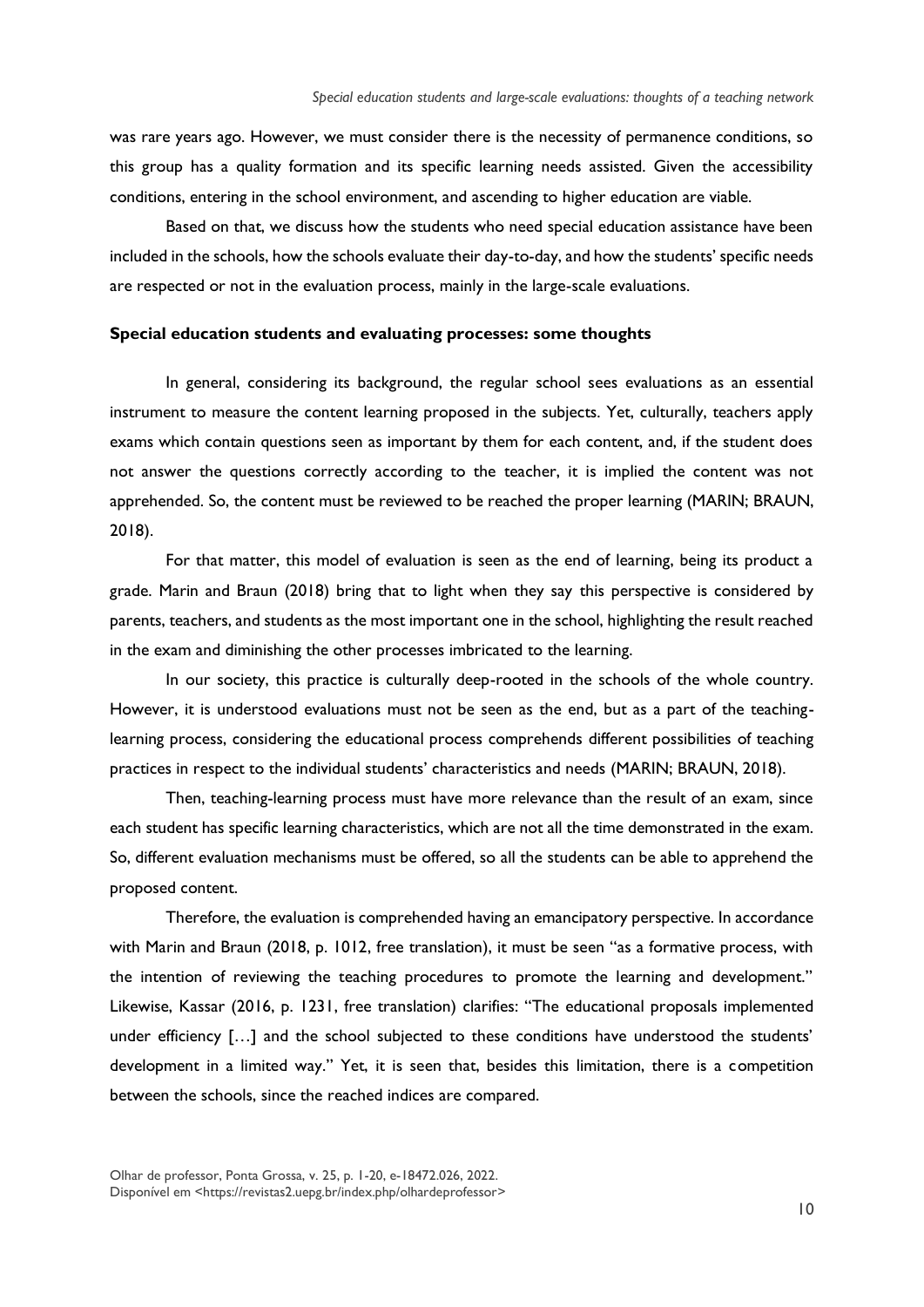was rare years ago. However, we must consider there is the necessity of permanence conditions, so this group has a quality formation and its specific learning needs assisted. Given the accessibility conditions, entering in the school environment, and ascending to higher education are viable.

Based on that, we discuss how the students who need special education assistance have been included in the schools, how the schools evaluate their day-to-day, and how the students' specific needs are respected or not in the evaluation process, mainly in the large-scale evaluations.

#### **Special education students and evaluating processes: some thoughts**

In general, considering its background, the regular school sees evaluations as an essential instrument to measure the content learning proposed in the subjects. Yet, culturally, teachers apply exams which contain questions seen as important by them for each content, and, if the student does not answer the questions correctly according to the teacher, it is implied the content was not apprehended. So, the content must be reviewed to be reached the proper learning (MARIN; BRAUN, 2018).

For that matter, this model of evaluation is seen as the end of learning, being its product a grade. Marin and Braun (2018) bring that to light when they say this perspective is considered by parents, teachers, and students as the most important one in the school, highlighting the result reached in the exam and diminishing the other processes imbricated to the learning.

In our society, this practice is culturally deep-rooted in the schools of the whole country. However, it is understood evaluations must not be seen as the end, but as a part of the teachinglearning process, considering the educational process comprehends different possibilities of teaching practices in respect to the individual students' characteristics and needs (MARIN; BRAUN, 2018).

Then, teaching-learning process must have more relevance than the result of an exam, since each student has specific learning characteristics, which are not all the time demonstrated in the exam. So, different evaluation mechanisms must be offered, so all the students can be able to apprehend the proposed content.

Therefore, the evaluation is comprehended having an emancipatory perspective. In accordance with Marin and Braun (2018, p. 1012, free translation), it must be seen "as a formative process, with the intention of reviewing the teaching procedures to promote the learning and development." Likewise, Kassar (2016, p. 1231, free translation) clarifies: "The educational proposals implemented under efficiency [...] and the school subjected to these conditions have understood the students' development in a limited way." Yet, it is seen that, besides this limitation, there is a competition between the schools, since the reached indices are compared.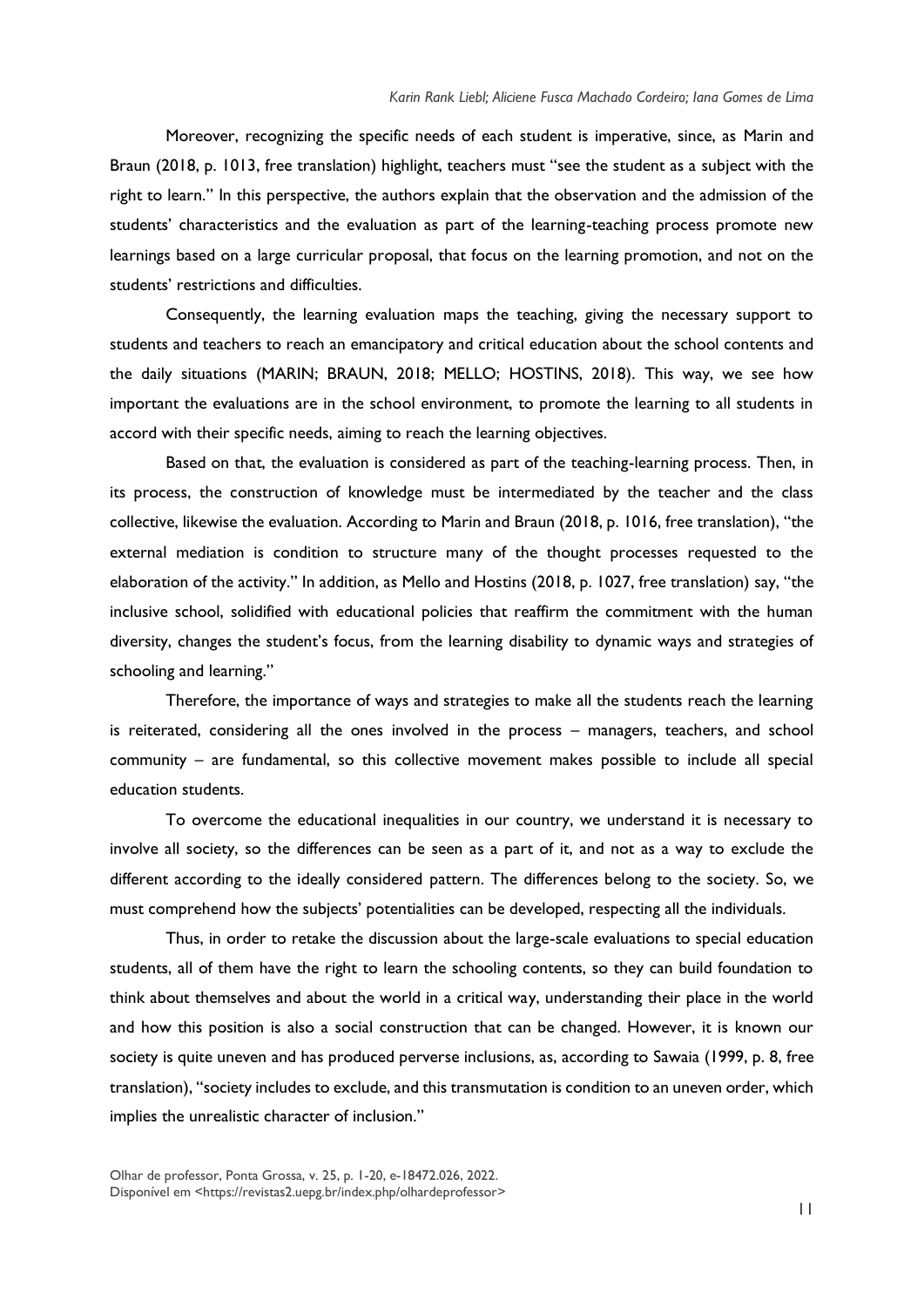Moreover, recognizing the specific needs of each student is imperative, since, as Marin and Braun (2018, p. 1013, free translation) highlight, teachers must "see the student as a subject with the right to learn." In this perspective, the authors explain that the observation and the admission of the students' characteristics and the evaluation as part of the learning-teaching process promote new learnings based on a large curricular proposal, that focus on the learning promotion, and not on the students' restrictions and difficulties.

Consequently, the learning evaluation maps the teaching, giving the necessary support to students and teachers to reach an emancipatory and critical education about the school contents and the daily situations (MARIN; BRAUN, 2018; MELLO; HOSTINS, 2018). This way, we see how important the evaluations are in the school environment, to promote the learning to all students in accord with their specific needs, aiming to reach the learning objectives.

Based on that, the evaluation is considered as part of the teaching-learning process. Then, in its process, the construction of knowledge must be intermediated by the teacher and the class collective, likewise the evaluation. According to Marin and Braun (2018, p. 1016, free translation), "the external mediation is condition to structure many of the thought processes requested to the elaboration of the activity." In addition, as Mello and Hostins (2018, p. 1027, free translation) say, "the inclusive school, solidified with educational policies that reaffirm the commitment with the human diversity, changes the student's focus, from the learning disability to dynamic ways and strategies of schooling and learning."

Therefore, the importance of ways and strategies to make all the students reach the learning is reiterated, considering all the ones involved in the process – managers, teachers, and school community – are fundamental, so this collective movement makes possible to include all special education students.

To overcome the educational inequalities in our country, we understand it is necessary to involve all society, so the differences can be seen as a part of it, and not as a way to exclude the different according to the ideally considered pattern. The differences belong to the society. So, we must comprehend how the subjects' potentialities can be developed, respecting all the individuals.

Thus, in order to retake the discussion about the large-scale evaluations to special education students, all of them have the right to learn the schooling contents, so they can build foundation to think about themselves and about the world in a critical way, understanding their place in the world and how this position is also a social construction that can be changed. However, it is known our society is quite uneven and has produced perverse inclusions, as, according to Sawaia (1999, p. 8, free translation), "society includes to exclude, and this transmutation is condition to an uneven order, which implies the unrealistic character of inclusion."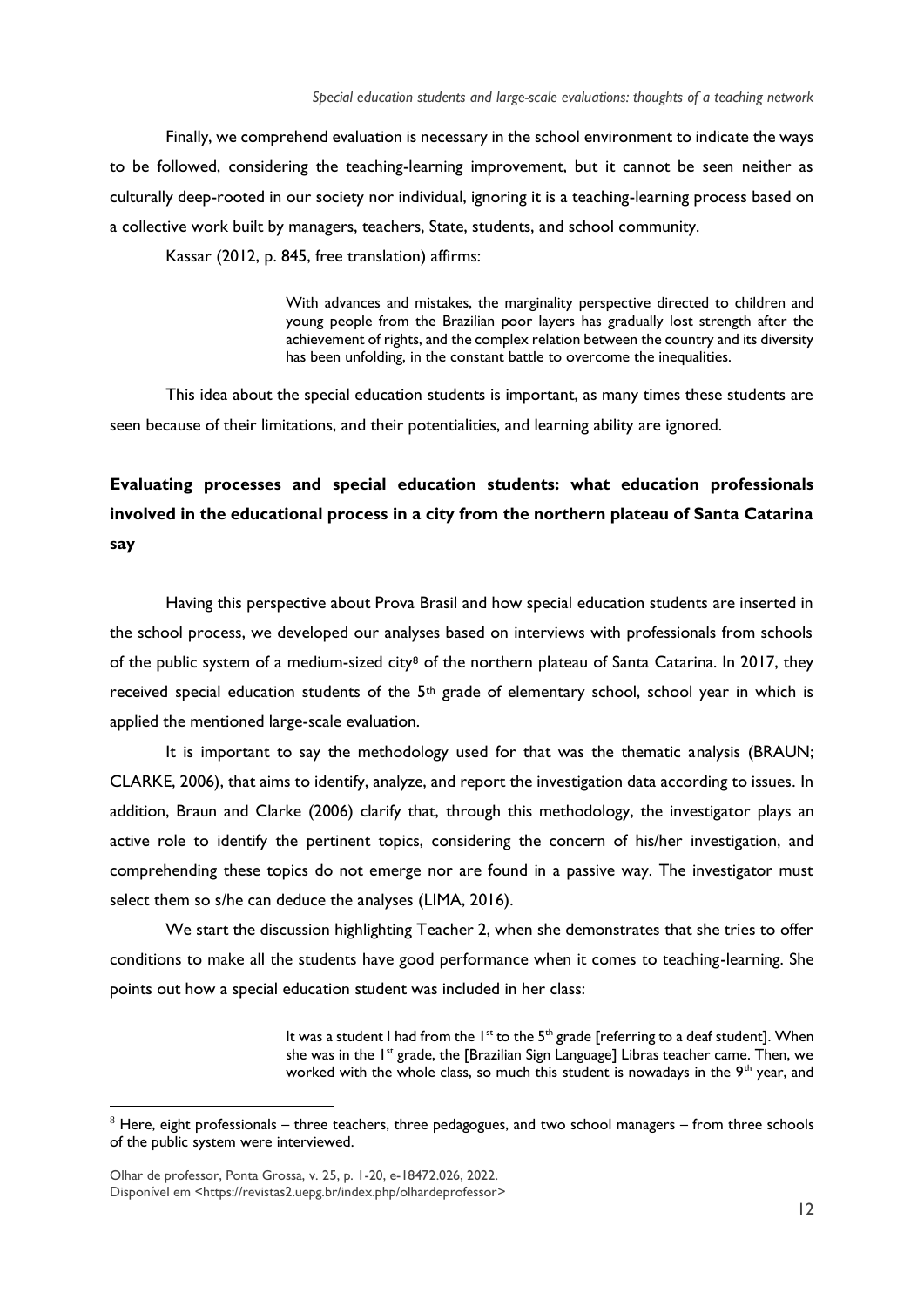Finally, we comprehend evaluation is necessary in the school environment to indicate the ways to be followed, considering the teaching-learning improvement, but it cannot be seen neither as culturally deep-rooted in our society nor individual, ignoring it is a teaching-learning process based on a collective work built by managers, teachers, State, students, and school community.

Kassar (2012, p. 845, free translation) affirms:

With advances and mistakes, the marginality perspective directed to children and young people from the Brazilian poor layers has gradually lost strength after the achievement of rights, and the complex relation between the country and its diversity has been unfolding, in the constant battle to overcome the inequalities.

This idea about the special education students is important, as many times these students are seen because of their limitations, and their potentialities, and learning ability are ignored.

# **Evaluating processes and special education students: what education professionals involved in the educational process in a city from the northern plateau of Santa Catarina say**

Having this perspective about Prova Brasil and how special education students are inserted in the school process, we developed our analyses based on interviews with professionals from schools of the public system of a medium-sized city<sup>8</sup> of the northern plateau of Santa Catarina. In 2017, they received special education students of the  $5<sup>th</sup>$  grade of elementary school, school year in which is applied the mentioned large-scale evaluation.

It is important to say the methodology used for that was the thematic analysis (BRAUN; CLARKE, 2006), that aims to identify, analyze, and report the investigation data according to issues. In addition, Braun and Clarke (2006) clarify that, through this methodology, the investigator plays an active role to identify the pertinent topics, considering the concern of his/her investigation, and comprehending these topics do not emerge nor are found in a passive way. The investigator must select them so s/he can deduce the analyses (LIMA, 2016).

We start the discussion highlighting Teacher 2, when she demonstrates that she tries to offer conditions to make all the students have good performance when it comes to teaching-learning. She points out how a special education student was included in her class:

> It was a student I had from the  $1^{st}$  to the  $5^{th}$  grade [referring to a deaf student]. When she was in the 1<sup>st</sup> grade, the [Brazilian Sign Language] Libras teacher came. Then, we worked with the whole class, so much this student is nowadays in the 9<sup>th</sup> year, and

 $8$  Here, eight professionals – three teachers, three pedagogues, and two school managers – from three schools of the public system were interviewed.

Olhar de professor, Ponta Grossa, v. 25, p. 1-20, e-18472.026, 2022. Disponível em [<https://revistas2.uepg.br/index.php/olhardeprofessor>](https://revistas2.uepg.br/index.php/olhardeprofessor)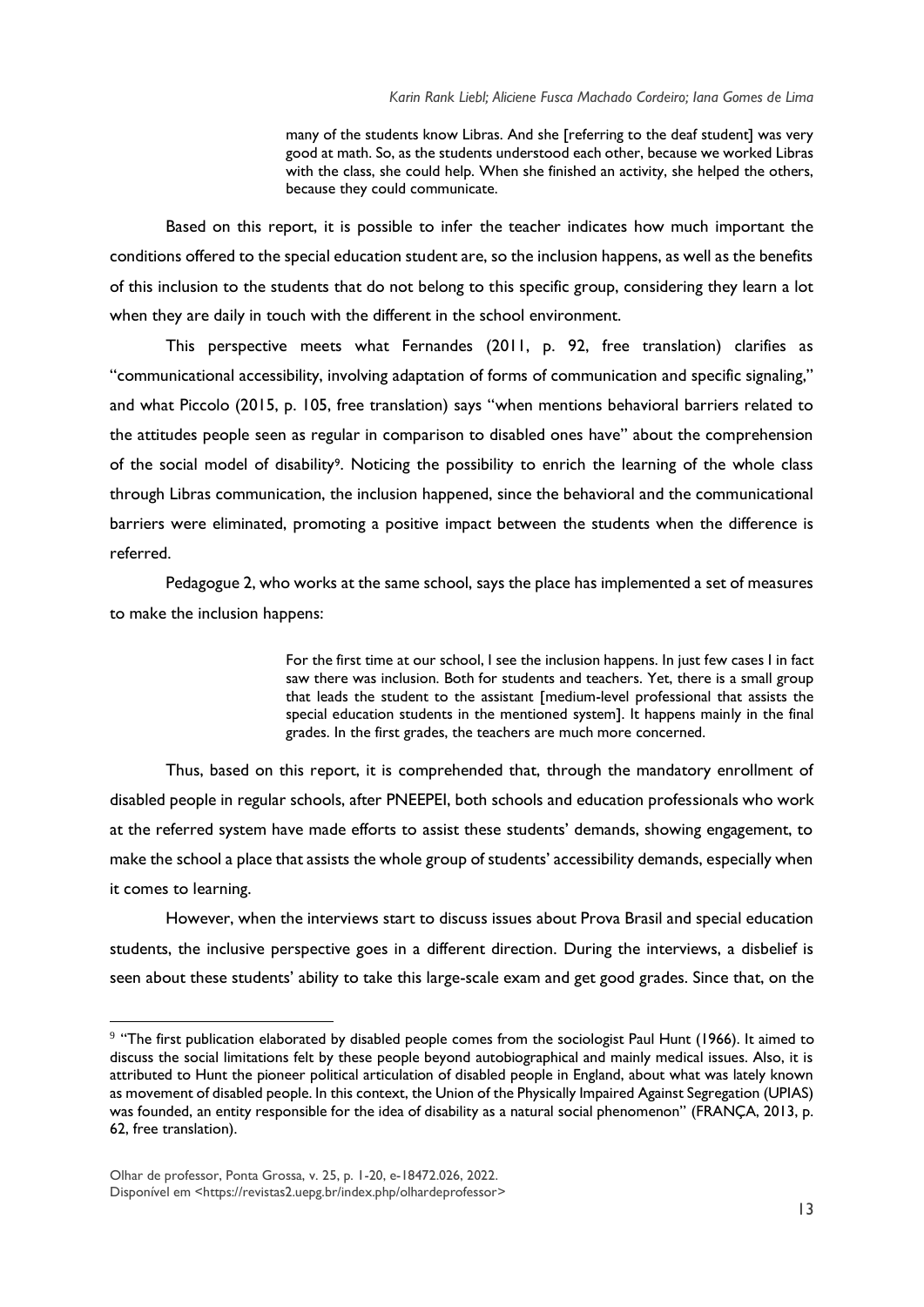many of the students know Libras. And she [referring to the deaf student] was very good at math. So, as the students understood each other, because we worked Libras with the class, she could help. When she finished an activity, she helped the others, because they could communicate.

Based on this report, it is possible to infer the teacher indicates how much important the conditions offered to the special education student are, so the inclusion happens, as well as the benefits of this inclusion to the students that do not belong to this specific group, considering they learn a lot when they are daily in touch with the different in the school environment.

This perspective meets what Fernandes (2011, p. 92, free translation) clarifies as "communicational accessibility, involving adaptation of forms of communication and specific signaling," and what Piccolo (2015, p. 105, free translation) says "when mentions behavioral barriers related to the attitudes people seen as regular in comparison to disabled ones have" about the comprehension of the social model of disability<sup>9</sup>. Noticing the possibility to enrich the learning of the whole class through Libras communication, the inclusion happened, since the behavioral and the communicational barriers were eliminated, promoting a positive impact between the students when the difference is referred.

Pedagogue 2, who works at the same school, says the place has implemented a set of measures to make the inclusion happens:

> For the first time at our school, I see the inclusion happens. In just few cases I in fact saw there was inclusion. Both for students and teachers. Yet, there is a small group that leads the student to the assistant [medium-level professional that assists the special education students in the mentioned system]. It happens mainly in the final grades. In the first grades, the teachers are much more concerned.

Thus, based on this report, it is comprehended that, through the mandatory enrollment of disabled people in regular schools, after PNEEPEI, both schools and education professionals who work at the referred system have made efforts to assist these students' demands, showing engagement, to make the school a place that assists the whole group of students' accessibility demands, especially when it comes to learning.

However, when the interviews start to discuss issues about Prova Brasil and special education students, the inclusive perspective goes in a different direction. During the interviews, a disbelief is seen about these students' ability to take this large-scale exam and get good grades. Since that, on the

 $9$  "The first publication elaborated by disabled people comes from the sociologist Paul Hunt (1966). It aimed to discuss the social limitations felt by these people beyond autobiographical and mainly medical issues. Also, it is attributed to Hunt the pioneer political articulation of disabled people in England, about what was lately known as movement of disabled people. In this context, the Union of the Physically Impaired Against Segregation (UPIAS) was founded, an entity responsible for the idea of disability as a natural social phenomenon" (FRANÇA, 2013, p. 62, free translation).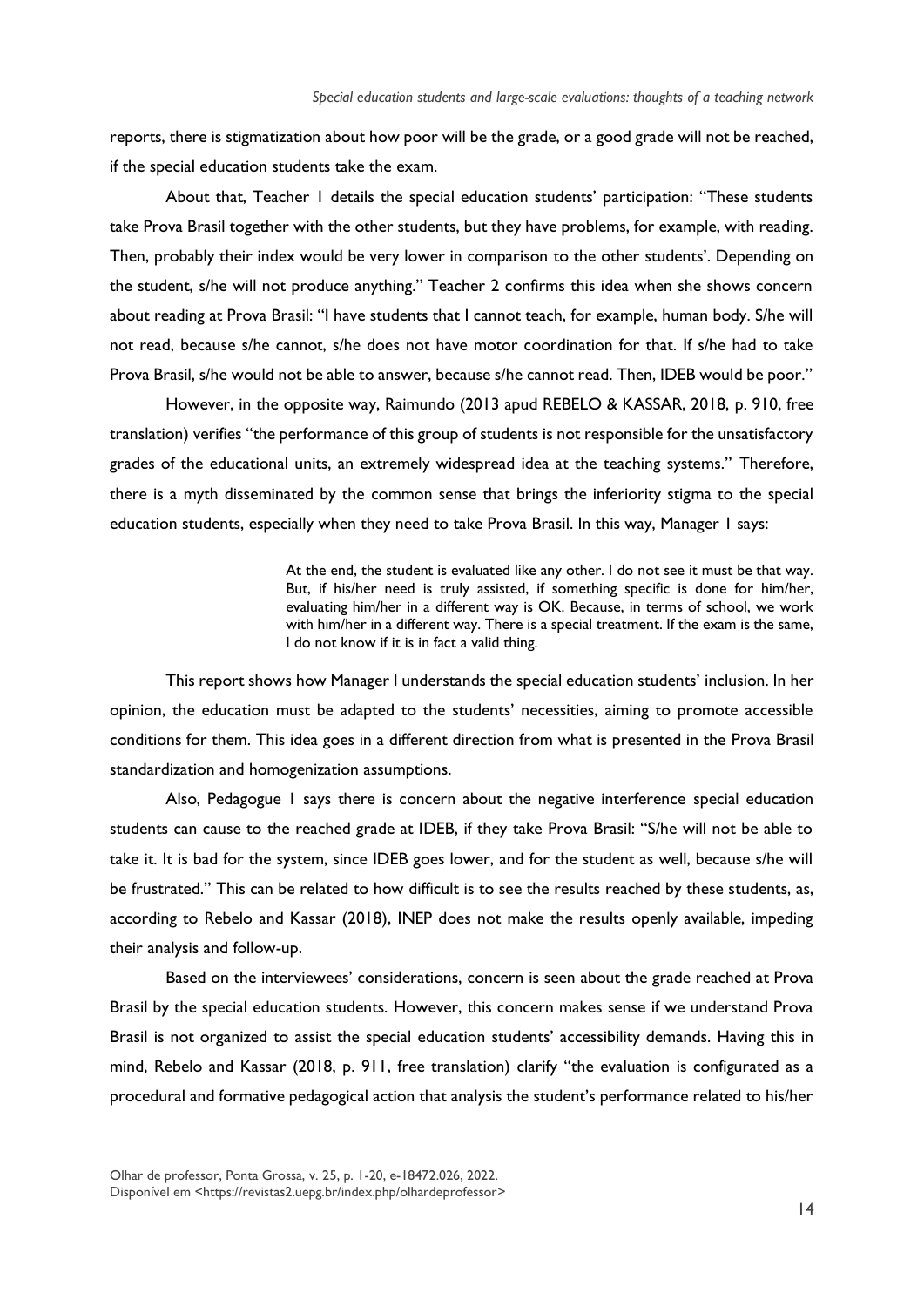reports, there is stigmatization about how poor will be the grade, or a good grade will not be reached, if the special education students take the exam.

About that, Teacher 1 details the special education students' participation: "These students take Prova Brasil together with the other students, but they have problems, for example, with reading. Then, probably their index would be very lower in comparison to the other students'. Depending on the student, s/he will not produce anything." Teacher 2 confirms this idea when she shows concern about reading at Prova Brasil: "I have students that I cannot teach, for example, human body. S/he will not read, because s/he cannot, s/he does not have motor coordination for that. If s/he had to take Prova Brasil, s/he would not be able to answer, because s/he cannot read. Then, IDEB would be poor."

However, in the opposite way, Raimundo (2013 apud REBELO & KASSAR, 2018, p. 910, free translation) verifies "the performance of this group of students is not responsible for the unsatisfactory grades of the educational units, an extremely widespread idea at the teaching systems." Therefore, there is a myth disseminated by the common sense that brings the inferiority stigma to the special education students, especially when they need to take Prova Brasil. In this way, Manager 1 says:

> At the end, the student is evaluated like any other. I do not see it must be that way. But, if his/her need is truly assisted, if something specific is done for him/her, evaluating him/her in a different way is OK. Because, in terms of school, we work with him/her in a different way. There is a special treatment. If the exam is the same, I do not know if it is in fact a valid thing.

This report shows how Manager I understands the special education students' inclusion. In her opinion, the education must be adapted to the students' necessities, aiming to promote accessible conditions for them. This idea goes in a different direction from what is presented in the Prova Brasil standardization and homogenization assumptions.

Also, Pedagogue 1 says there is concern about the negative interference special education students can cause to the reached grade at IDEB, if they take Prova Brasil: "S/he will not be able to take it. It is bad for the system, since IDEB goes lower, and for the student as well, because s/he will be frustrated." This can be related to how difficult is to see the results reached by these students, as, according to Rebelo and Kassar (2018), INEP does not make the results openly available, impeding their analysis and follow-up.

Based on the interviewees' considerations, concern is seen about the grade reached at Prova Brasil by the special education students. However, this concern makes sense if we understand Prova Brasil is not organized to assist the special education students' accessibility demands. Having this in mind, Rebelo and Kassar (2018, p. 911, free translation) clarify "the evaluation is configurated as a procedural and formative pedagogical action that analysis the student's performance related to his/her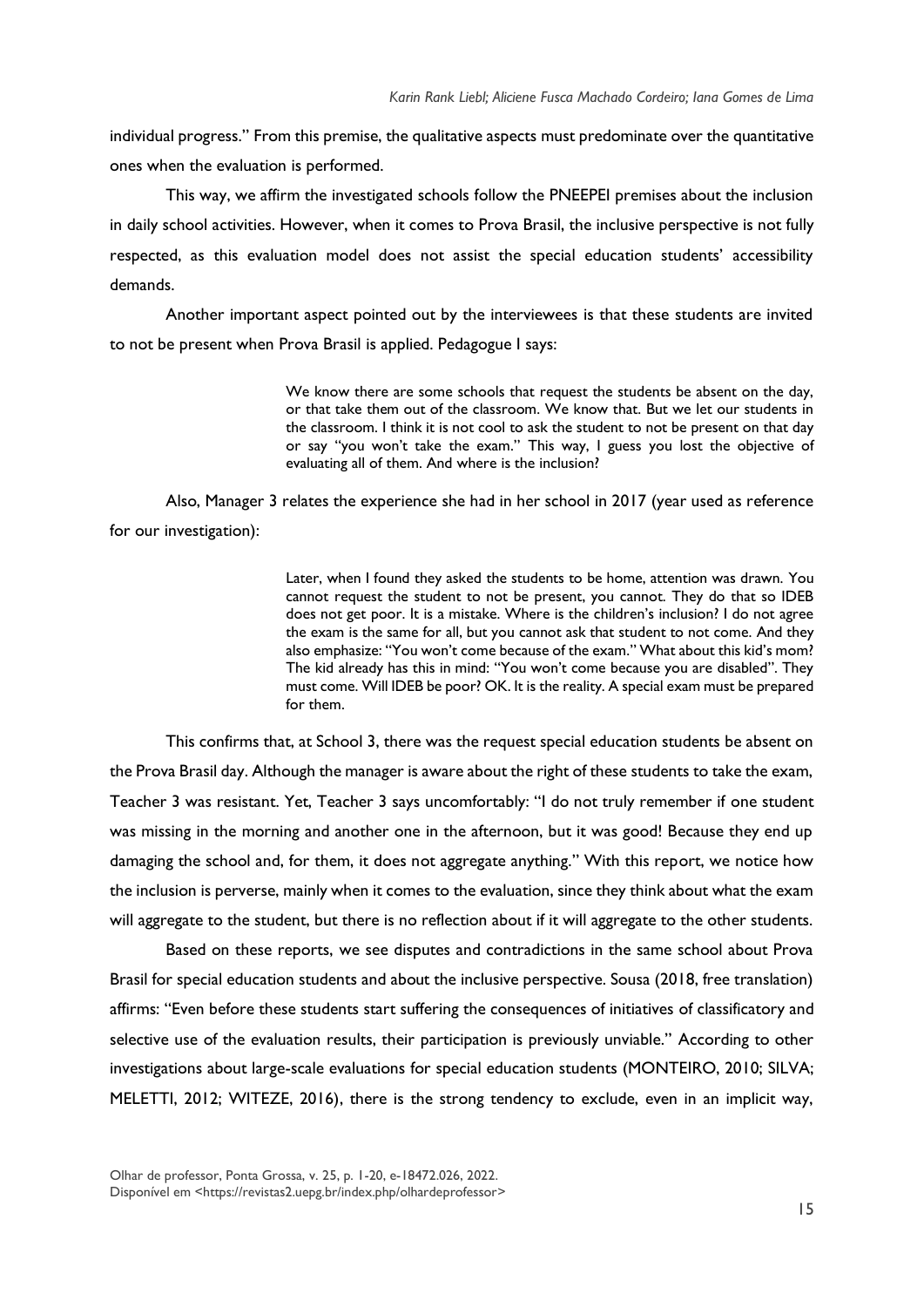individual progress." From this premise, the qualitative aspects must predominate over the quantitative ones when the evaluation is performed.

This way, we affirm the investigated schools follow the PNEEPEI premises about the inclusion in daily school activities. However, when it comes to Prova Brasil, the inclusive perspective is not fully respected, as this evaluation model does not assist the special education students' accessibility demands.

Another important aspect pointed out by the interviewees is that these students are invited to not be present when Prova Brasil is applied. Pedagogue I says:

> We know there are some schools that request the students be absent on the day, or that take them out of the classroom. We know that. But we let our students in the classroom. I think it is not cool to ask the student to not be present on that day or say "you won't take the exam." This way, I guess you lost the objective of evaluating all of them. And where is the inclusion?

Also, Manager 3 relates the experience she had in her school in 2017 (year used as reference for our investigation):

> Later, when I found they asked the students to be home, attention was drawn. You cannot request the student to not be present, you cannot. They do that so IDEB does not get poor. It is a mistake. Where is the children's inclusion? I do not agree the exam is the same for all, but you cannot ask that student to not come. And they also emphasize: "You won't come because of the exam." What about this kid's mom? The kid already has this in mind: "You won't come because you are disabled". They must come. Will IDEB be poor? OK. It is the reality. A special exam must be prepared for them.

This confirms that, at School 3, there was the request special education students be absent on the Prova Brasil day. Although the manager is aware about the right of these students to take the exam, Teacher 3 was resistant. Yet, Teacher 3 says uncomfortably: "I do not truly remember if one student was missing in the morning and another one in the afternoon, but it was good! Because they end up damaging the school and, for them, it does not aggregate anything." With this report, we notice how the inclusion is perverse, mainly when it comes to the evaluation, since they think about what the exam will aggregate to the student, but there is no reflection about if it will aggregate to the other students.

Based on these reports, we see disputes and contradictions in the same school about Prova Brasil for special education students and about the inclusive perspective. Sousa (2018, free translation) affirms: "Even before these students start suffering the consequences of initiatives of classificatory and selective use of the evaluation results, their participation is previously unviable." According to other investigations about large-scale evaluations for special education students (MONTEIRO, 2010; SILVA; MELETTI, 2012; WITEZE, 2016), there is the strong tendency to exclude, even in an implicit way,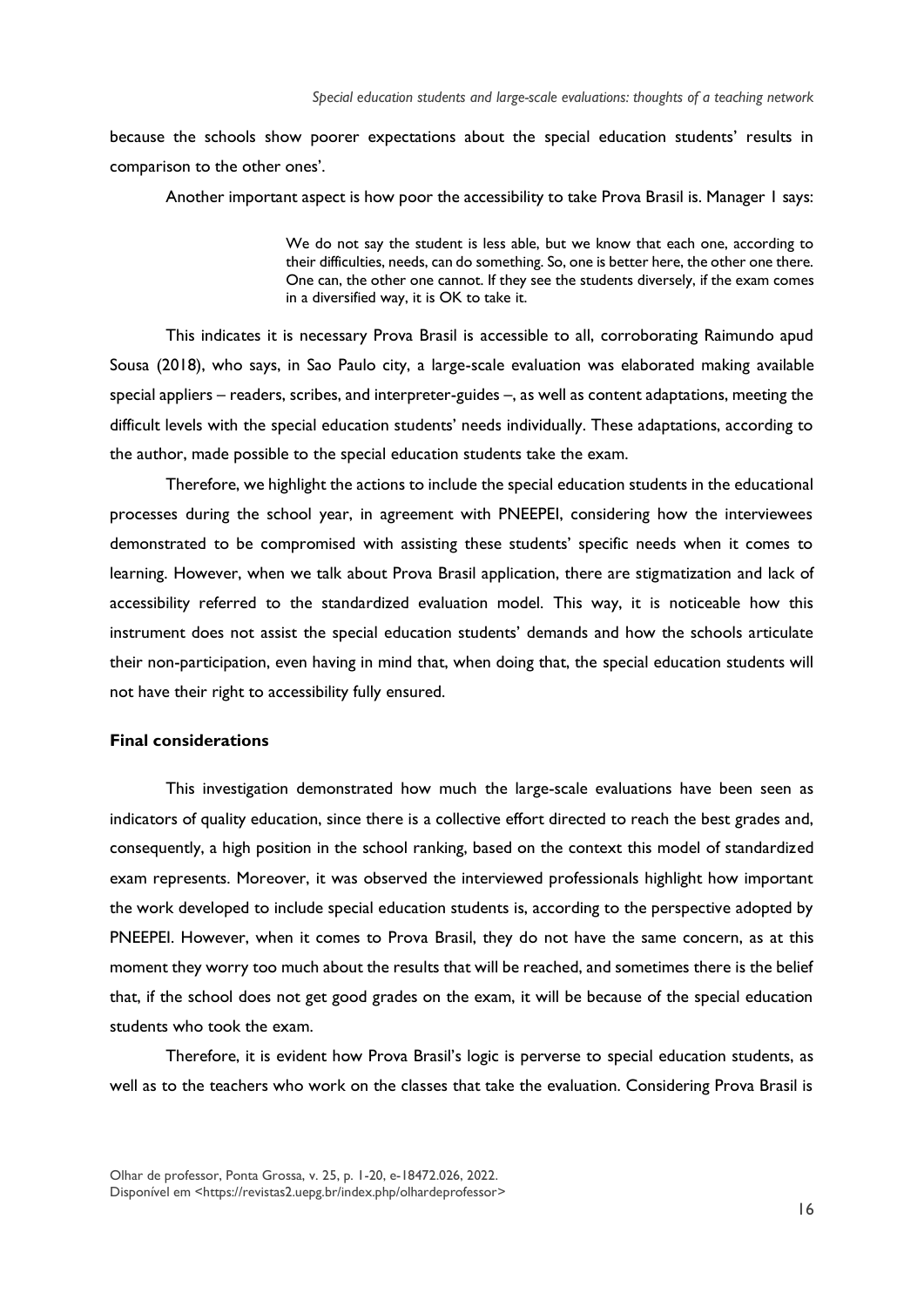because the schools show poorer expectations about the special education students' results in comparison to the other ones'.

Another important aspect is how poor the accessibility to take Prova Brasil is. Manager 1 says:

We do not say the student is less able, but we know that each one, according to their difficulties, needs, can do something. So, one is better here, the other one there. One can, the other one cannot. If they see the students diversely, if the exam comes in a diversified way, it is OK to take it.

This indicates it is necessary Prova Brasil is accessible to all, corroborating Raimundo apud Sousa (2018), who says, in Sao Paulo city, a large-scale evaluation was elaborated making available special appliers – readers, scribes, and interpreter-guides –, as well as content adaptations, meeting the difficult levels with the special education students' needs individually. These adaptations, according to the author, made possible to the special education students take the exam.

Therefore, we highlight the actions to include the special education students in the educational processes during the school year, in agreement with PNEEPEI, considering how the interviewees demonstrated to be compromised with assisting these students' specific needs when it comes to learning. However, when we talk about Prova Brasil application, there are stigmatization and lack of accessibility referred to the standardized evaluation model. This way, it is noticeable how this instrument does not assist the special education students' demands and how the schools articulate their non-participation, even having in mind that, when doing that, the special education students will not have their right to accessibility fully ensured.

#### **Final considerations**

This investigation demonstrated how much the large-scale evaluations have been seen as indicators of quality education, since there is a collective effort directed to reach the best grades and, consequently, a high position in the school ranking, based on the context this model of standardized exam represents. Moreover, it was observed the interviewed professionals highlight how important the work developed to include special education students is, according to the perspective adopted by PNEEPEI. However, when it comes to Prova Brasil, they do not have the same concern, as at this moment they worry too much about the results that will be reached, and sometimes there is the belief that, if the school does not get good grades on the exam, it will be because of the special education students who took the exam.

Therefore, it is evident how Prova Brasil's logic is perverse to special education students, as well as to the teachers who work on the classes that take the evaluation. Considering Prova Brasil is

Olhar de professor, Ponta Grossa, v. 25, p. 1-20, e-18472.026, 2022. Disponível em [<https://revistas2.uepg.br/index.php/olhardeprofessor>](https://revistas2.uepg.br/index.php/olhardeprofessor)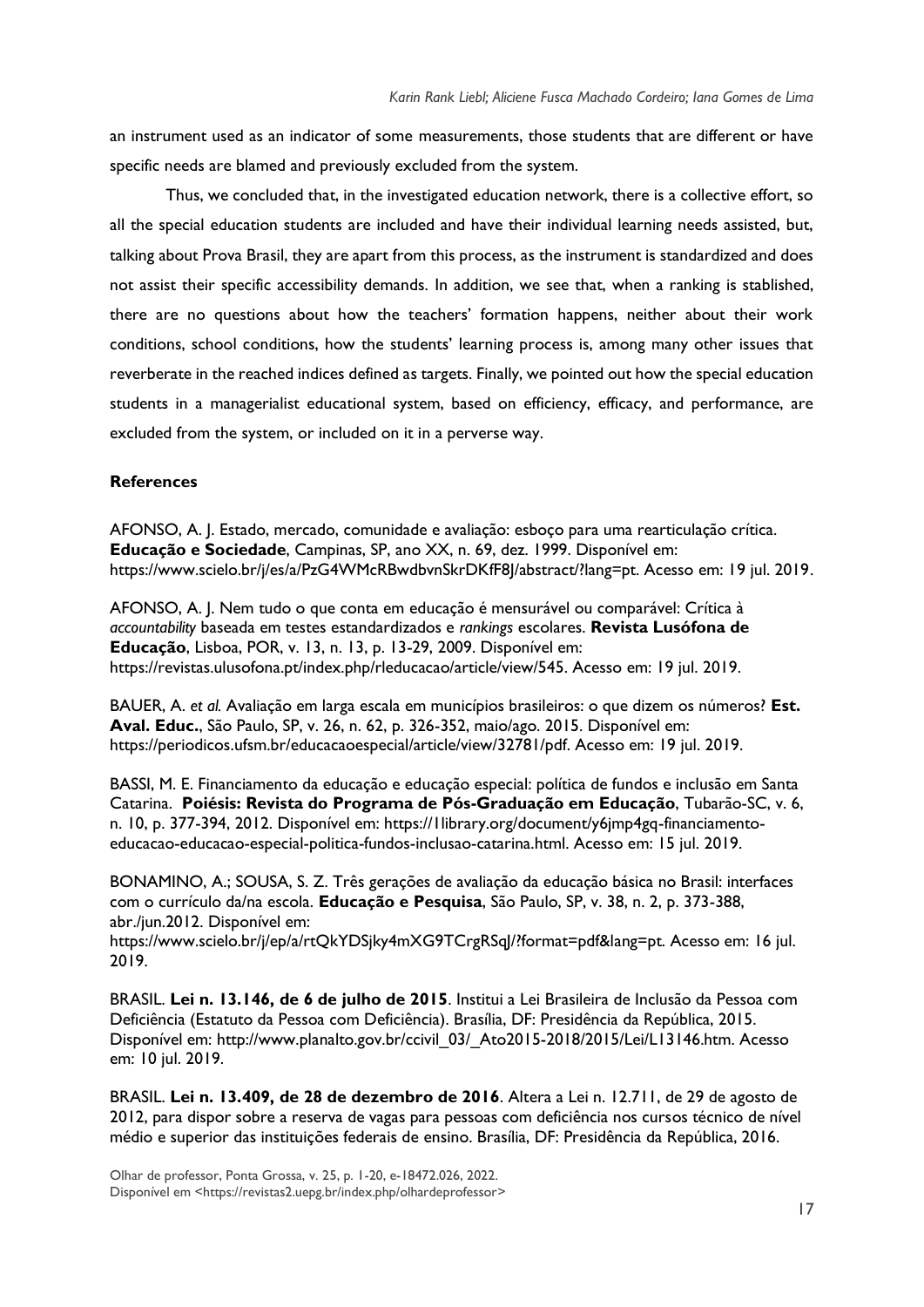an instrument used as an indicator of some measurements, those students that are different or have specific needs are blamed and previously excluded from the system.

Thus, we concluded that, in the investigated education network, there is a collective effort, so all the special education students are included and have their individual learning needs assisted, but, talking about Prova Brasil, they are apart from this process, as the instrument is standardized and does not assist their specific accessibility demands. In addition, we see that, when a ranking is stablished, there are no questions about how the teachers' formation happens, neither about their work conditions, school conditions, how the students' learning process is, among many other issues that reverberate in the reached indices defined as targets. Finally, we pointed out how the special education students in a managerialist educational system, based on efficiency, efficacy, and performance, are excluded from the system, or included on it in a perverse way.

#### **References**

AFONSO, A. J. Estado, mercado, comunidade e avaliação: esboço para uma rearticulação crítica. **Educação e Sociedade**, Campinas, SP, ano XX, n. 69, dez. 1999. Disponível em: https://www.scielo.br/j/es/a/PzG4WMcRBwdbvnSkrDKfF8J/abstract/?lang=pt. Acesso em: 19 jul. 2019.

AFONSO, A. J. Nem tudo o que conta em educação é mensurável ou comparável: Crítica à *accountability* baseada em testes estandardizados e *rankings* escolares. **Revista Lusófona de Educação**, Lisboa, POR, v. 13, n. 13, p. 13-29, 2009. Disponível em: https://revistas.ulusofona.pt/index.php/rleducacao/article/view/545. Acesso em: 19 jul. 2019.

BAUER, A. *et al.* Avaliação em larga escala em municípios brasileiros: o que dizem os números? **Est. Aval. Educ.**, São Paulo, SP, v. 26, n. 62, p. 326-352, maio/ago. 2015. Disponível em: https://periodicos.ufsm.br/educacaoespecial/article/view/32781/pdf. Acesso em: 19 jul. 2019.

BASSI, M. E. Financiamento da educação e educação especial: política de fundos e inclusão em Santa Catarina. **Poiésis: Revista do Programa de Pós-Graduação em Educação**, Tubarão-SC, v. 6, n. 10, p. 377-394, 2012. Disponível em: https://llibrary.org/document/y6jmp4gq-financiamentoeducacao-educacao-especial-politica-fundos-inclusao-catarina.html. Acesso em: 15 jul. 2019.

BONAMINO, A.; SOUSA, S. Z. Três gerações de avaliação da educação básica no Brasil: interfaces com o currículo da/na escola. **Educação e Pesquisa**, São Paulo, SP, v. 38, n. 2, p. 373-388, abr./jun.2012. Disponível em:

https://www.scielo.br/j/ep/a/rtQkYDSjky4mXG9TCrgRSqJ/?format=pdf&lang=pt. Acesso em: 16 jul. 2019.

BRASIL. **Lei n. 13.146, de 6 de julho de 2015**. Institui a Lei Brasileira de Inclusão da Pessoa com Deficiência (Estatuto da Pessoa com Deficiência). Brasília, DF: Presidência da República, 2015. Disponível em: http://www.planalto.gov.br/ccivil\_03/\_Ato2015-2018/2015/Lei/L13146.htm. Acesso em: 10 jul. 2019.

BRASIL. **Lei n. 13.409, de 28 de dezembro de 2016**. Altera a Lei n. 12.711, de 29 de agosto de 2012, para dispor sobre a reserva de vagas para pessoas com deficiência nos cursos técnico de nível médio e superior das instituições federais de ensino. Brasília, DF: Presidência da República, 2016.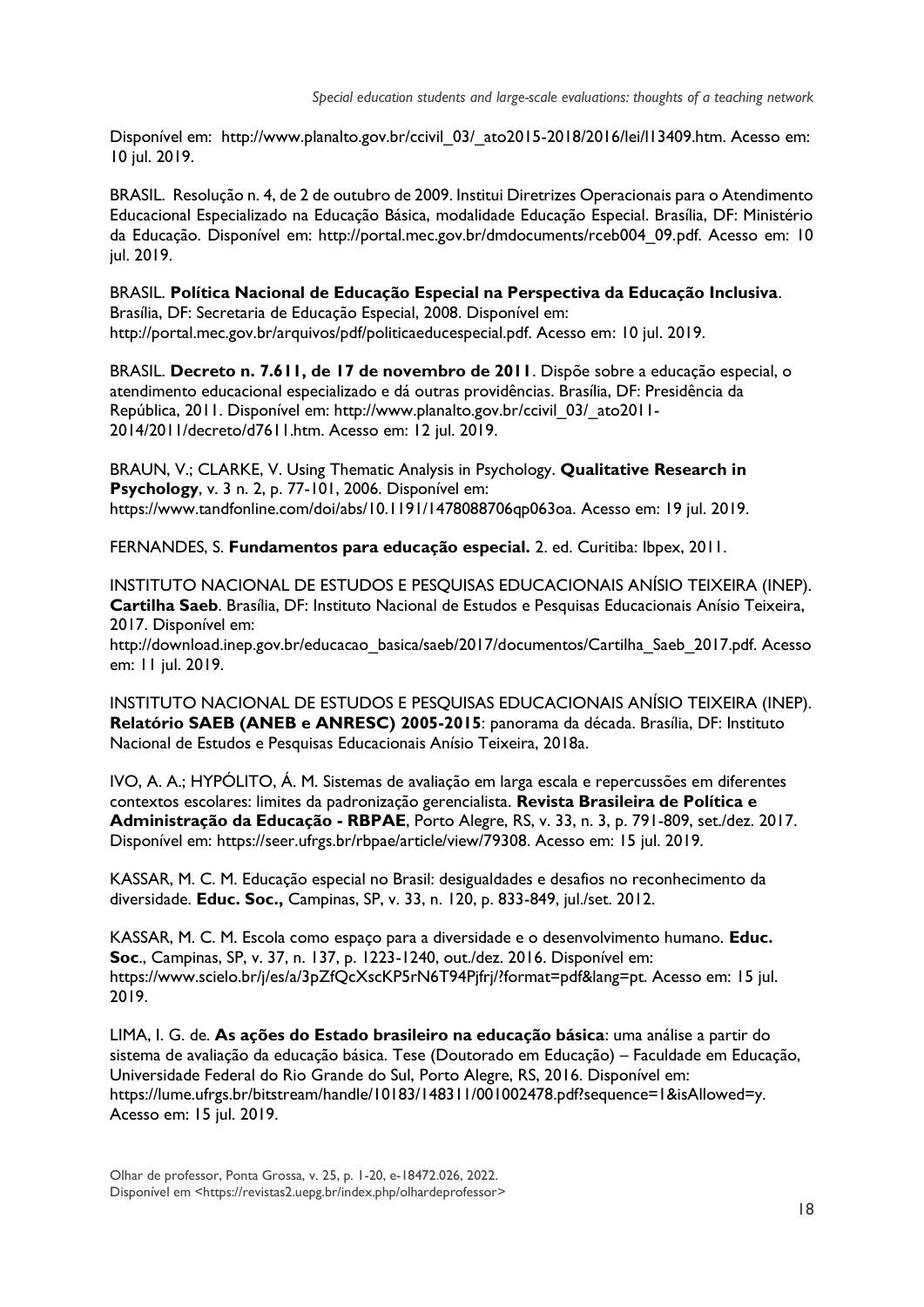Disponível em: http://www.planalto.gov.br/ccivil 03/ ato2015-2018/2016/lei/l13409.htm. Acesso em: 10 jul. 2019.

BRASIL. Resolução n. 4, de 2 de outubro de 2009. Institui Diretrizes Operacionais para o Atendimento Educacional Especializado na Educação Básica, modalidade Educação Especial. Brasília, DF: Ministério da Educação. Disponível em: http://portal.mec.gov.br/dmdocuments/rceb004\_09.pdf. Acesso em: 10 jul. 2019.

#### BRASIL. **Política Nacional de Educação Especial na Perspectiva da Educação Inclusiva**. Brasília, DF: Secretaria de Educação Especial, 2008. Disponível em: http://portal.mec.gov.br/arquivos/pdf/politicaeducespecial.pdf. Acesso em: 10 jul. 2019.

BRASIL. **Decreto n. 7.611, de 17 de novembro de 2011**. Dispõe sobre a educação especial, o atendimento educacional especializado e dá outras providências. Brasília, DF: Presidência da República, 2011. Disponível em: http://www.planalto.gov.br/ccivil\_03/\_ato2011- 2014/2011/decreto/d7611.htm. Acesso em: 12 jul. 2019.

BRAUN, V.; CLARKE, V. Using Thematic Analysis in Psychology. **Qualitative Research in Psychology**, v. 3 n. 2, p. 77-101, 2006. Disponível em: https://www.tandfonline.com/doi/abs/10.1191/1478088706qp063oa. Acesso em: 19 jul. 2019.

FERNANDES, S. **Fundamentos para educação especial.** 2. ed. Curitiba: Ibpex, 2011.

INSTITUTO NACIONAL DE ESTUDOS E PESQUISAS EDUCACIONAIS ANÍSIO TEIXEIRA (INEP). **Cartilha Saeb**. Brasília, DF: Instituto Nacional de Estudos e Pesquisas Educacionais Anísio Teixeira, 2017. Disponível em:

http://download.inep.gov.br/educacao\_basica/saeb/2017/documentos/Cartilha\_Saeb\_2017.pdf. Acesso em: 11 jul. 2019.

INSTITUTO NACIONAL DE ESTUDOS E PESQUISAS EDUCACIONAIS ANÍSIO TEIXEIRA (INEP). **Relatório SAEB (ANEB e ANRESC) 2005-2015**: panorama da década. Brasília, DF: Instituto Nacional de Estudos e Pesquisas Educacionais Anísio Teixeira, 2018a.

IVO, A. A.; HYPÓLITO, Á. M. Sistemas de avaliação em larga escala e repercussões em diferentes contextos escolares: limites da padronização gerencialista. **Revista Brasileira de Política e Administração da Educação - RBPAE**, Porto Alegre, RS, v. 33, n. 3, p. 791-809, set./dez. 2017. Disponível em: https://seer.ufrgs.br/rbpae/article/view/79308. Acesso em: 15 jul. 2019.

KASSAR, M. C. M. Educação especial no Brasil: desigualdades e desafios no reconhecimento da diversidade. **Educ. Soc.,** Campinas, SP, v. 33, n. 120, p. 833-849, jul./set. 2012.

KASSAR, M. C. M. Escola como espaço para a diversidade e o desenvolvimento humano. **Educ. Soc**., Campinas, SP, v. 37, n. 137, p. 1223-1240, out./dez. 2016. Disponível em: https://www.scielo.br/j/es/a/3pZfQcXscKP5rN6T94Pjfrj/?format=pdf&lang=pt. Acesso em: 15 jul. 2019.

LIMA, I. G. de. **As ações do Estado brasileiro na educação básica**: uma análise a partir do sistema de avaliação da educação básica. Tese (Doutorado em Educação) – Faculdade em Educação, Universidade Federal do Rio Grande do Sul, Porto Alegre, RS, 2016. Disponível em: https://lume.ufrgs.br/bitstream/handle/10183/148311/001002478.pdf?sequence=1&isAllowed=y. Acesso em: 15 jul. 2019.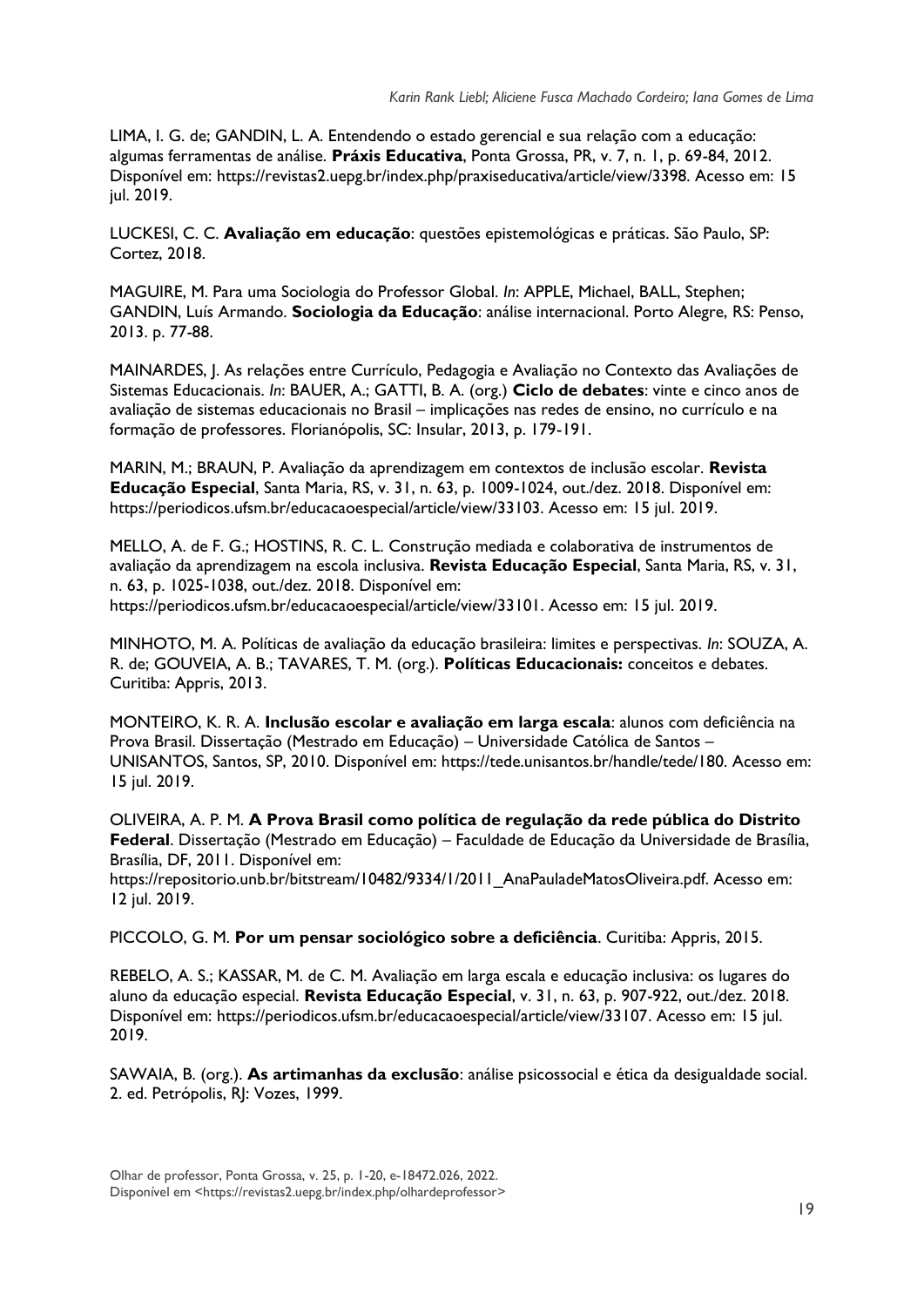LIMA, I. G. de; GANDIN, L. A. Entendendo o estado gerencial e sua relação com a educação: algumas ferramentas de análise. **Práxis Educativa**, Ponta Grossa, PR, v. 7, n. 1, p. 69-84, 2012. Disponível em: https://revistas2.uepg.br/index.php/praxiseducativa/article/view/3398. Acesso em: 15 jul. 2019.

LUCKESI, C. C. **Avaliação em educação**: questões epistemológicas e práticas. São Paulo, SP: Cortez, 2018.

MAGUIRE, M. Para uma Sociologia do Professor Global. *In*: APPLE, Michael, BALL, Stephen; GANDIN, Luís Armando. **Sociologia da Educação**: análise internacional. Porto Alegre, RS: Penso, 2013. p. 77-88.

MAINARDES, J. As relações entre Currículo, Pedagogia e Avaliação no Contexto das Avaliações de Sistemas Educacionais. *In*: BAUER, A.; GATTI, B. A. (org.) **Ciclo de debates**: vinte e cinco anos de avaliação de sistemas educacionais no Brasil – implicações nas redes de ensino, no currículo e na formação de professores. Florianópolis, SC: Insular, 2013, p. 179-191.

MARIN, M.; BRAUN, P. Avaliação da aprendizagem em contextos de inclusão escolar. **Revista Educação Especial**, Santa Maria, RS, v. 31, n. 63, p. 1009-1024, out./dez. 2018. Disponível em: https://periodicos.ufsm.br/educacaoespecial/article/view/33103. Acesso em: 15 jul. 2019.

MELLO, A. de F. G.; HOSTINS, R. C. L. Construção mediada e colaborativa de instrumentos de avaliação da aprendizagem na escola inclusiva. **Revista Educação Especial**, Santa Maria, RS, v. 31, n. 63, p. 1025-1038, out./dez. 2018. Disponível em: https://periodicos.ufsm.br/educacaoespecial/article/view/33101. Acesso em: 15 jul. 2019.

MINHOTO, M. A. Políticas de avaliação da educação brasileira: limites e perspectivas. *In*: SOUZA, A. R. de; GOUVEIA, A. B.; TAVARES, T. M. (org.). **Políticas Educacionais:** conceitos e debates. Curitiba: Appris, 2013.

MONTEIRO, K. R. A. **Inclusão escolar e avaliação em larga escala**: alunos com deficiência na Prova Brasil. Dissertação (Mestrado em Educação) – Universidade Católica de Santos – UNISANTOS, Santos, SP, 2010. Disponível em: https://tede.unisantos.br/handle/tede/180. Acesso em: 15 jul. 2019.

OLIVEIRA, A. P. M. **A Prova Brasil como política de regulação da rede pública do Distrito Federal**. Dissertação (Mestrado em Educação) – Faculdade de Educação da Universidade de Brasília, Brasília, DF, 2011. Disponível em:

https://repositorio.unb.br/bitstream/10482/9334/1/2011\_AnaPauladeMatosOliveira.pdf. Acesso em: 12 jul. 2019.

PICCOLO, G. M. **Por um pensar sociológico sobre a deficiência**. Curitiba: Appris, 2015.

REBELO, A. S.; KASSAR, M. de C. M. Avaliação em larga escala e educação inclusiva: os lugares do aluno da educação especial. **Revista Educação Especial**, v. 31, n. 63, p. 907-922, out./dez. 2018. Disponível em: https://periodicos.ufsm.br/educacaoespecial/article/view/33107. Acesso em: 15 jul. 2019.

SAWAIA, B. (org.). **As artimanhas da exclusão**: análise psicossocial e ética da desigualdade social. 2. ed. Petrópolis, RJ: Vozes, 1999.